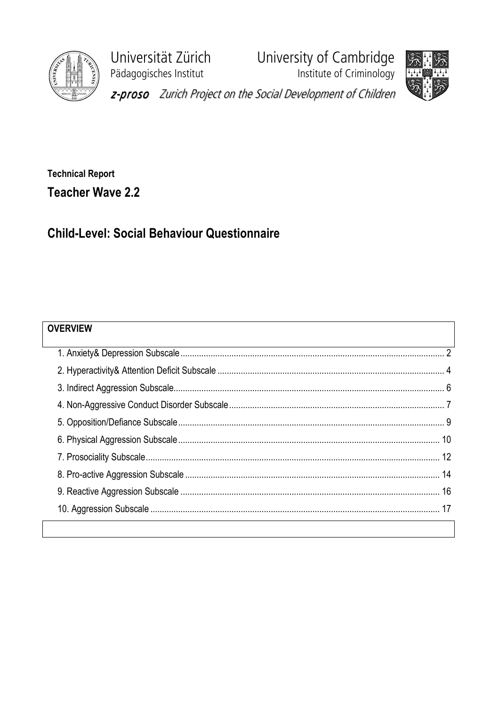

Universität Zürich University of Cambridge Pädagogisches Institut **Institute of Criminology** z-proso Zurich Project on the Social Development of Children



Technical Report Teacher Wave 2.2

## Child-Level: Social Behaviour Questionnaire

|  | <b>OVERVIEW</b> |  |
|--|-----------------|--|
|  |                 |  |
|  |                 |  |
|  |                 |  |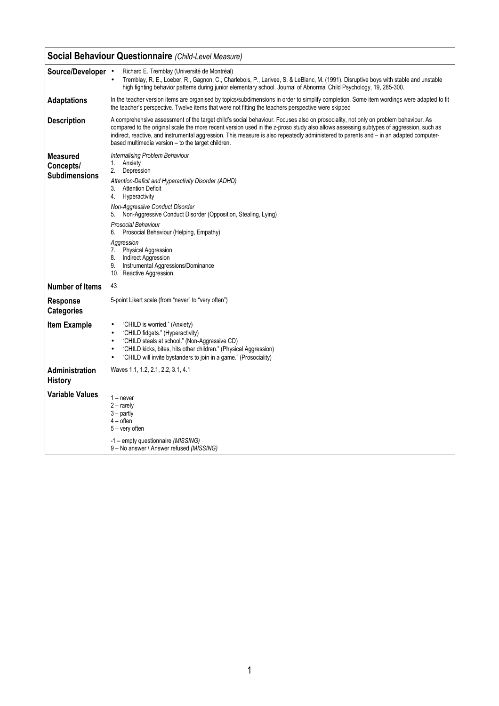|                                                      | Social Behaviour Questionnaire (Child-Level Measure)                                                                                                                                                                                                                                                                                                                                                                                                                                                                  |
|------------------------------------------------------|-----------------------------------------------------------------------------------------------------------------------------------------------------------------------------------------------------------------------------------------------------------------------------------------------------------------------------------------------------------------------------------------------------------------------------------------------------------------------------------------------------------------------|
| Source/Developer •                                   | Richard E. Tremblay (Université de Montréal)<br>Tremblay, R. E., Loeber, R., Gagnon, C., Charlebois, P., Larivee, S. & LeBlanc, M. (1991). Disruptive boys with stable and unstable<br>$\bullet$<br>high fighting behavior patterns during junior elementary school. Journal of Abnormal Child Psychology, 19, 285-300.                                                                                                                                                                                               |
| <b>Adaptations</b>                                   | In the teacher version items are organised by topics/subdimensions in order to simplify completion. Some item wordings were adapted to fit<br>the teacher's perspective. Twelve items that were not fitting the teachers perspective were skipped                                                                                                                                                                                                                                                                     |
| <b>Description</b>                                   | A comprehensive assessment of the target child's social behaviour. Focuses also on prosociality, not only on problem behaviour. As<br>compared to the original scale the more recent version used in the z-proso study also allows assessing subtypes of aggression, such as<br>indirect, reactive, and instrumental aggression. This measure is also repeatedly administered to parents and – in an adapted computer-<br>based multimedia version - to the target children.                                          |
| <b>Measured</b><br>Concepts/<br><b>Subdimensions</b> | Internalising Problem Behaviour<br>1. Anxiety<br>2.<br>Depression<br>Attention-Deficit and Hyperactivity Disorder (ADHD)<br><b>Attention Deficit</b><br>3.<br>4.<br>Hyperactivity<br>Non-Aggressive Conduct Disorder<br>Non-Aggressive Conduct Disorder (Opposition, Stealing, Lying)<br>5.<br>Prosocial Behaviour<br>Prosocial Behaviour (Helping, Empathy)<br>6.<br>Aggression<br>7. Physical Aggression<br><b>Indirect Aggression</b><br>8.<br>9.<br>Instrumental Aggressions/Dominance<br>10. Reactive Aggression |
| <b>Number of Items</b>                               | 43                                                                                                                                                                                                                                                                                                                                                                                                                                                                                                                    |
| Response<br><b>Categories</b>                        | 5-point Likert scale (from "never" to "very often")                                                                                                                                                                                                                                                                                                                                                                                                                                                                   |
| <b>Item Example</b>                                  | "CHILD is worried." (Anxiety)<br>$\bullet$<br>"CHILD fidgets." (Hyperactivity)<br>$\bullet$<br>"CHILD steals at school." (Non-Aggressive CD)<br>$\bullet$<br>"CHILD kicks, bites, hits other children." (Physical Aggression)<br>$\bullet$<br>"CHILD will invite bystanders to join in a game." (Prosociality)<br>$\bullet$                                                                                                                                                                                           |
| Administration<br><b>History</b>                     | Waves 1.1, 1.2, 2.1, 2.2, 3.1, 4.1                                                                                                                                                                                                                                                                                                                                                                                                                                                                                    |
| <b>Variable Values</b>                               | $1 -$ never<br>$2 -$ rarely<br>$3 -$ partly<br>$4 -$ often<br>5 – very often<br>-1 – empty questionnaire (MISSING)                                                                                                                                                                                                                                                                                                                                                                                                    |
|                                                      | 9 - No answer \ Answer refused (MISSING)                                                                                                                                                                                                                                                                                                                                                                                                                                                                              |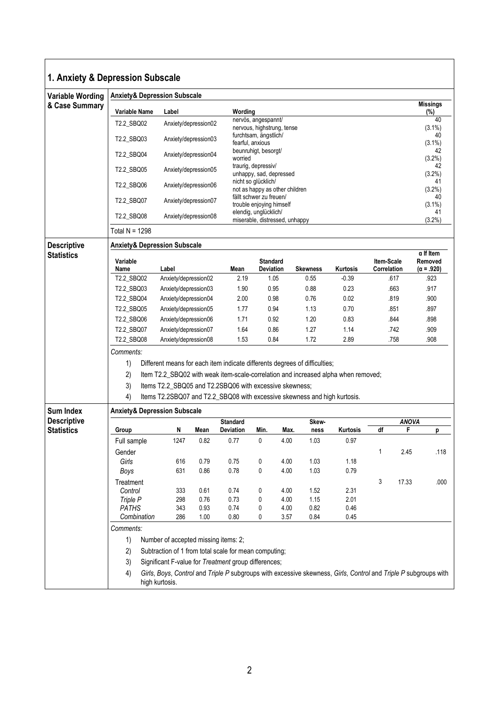| <b>Variable Wording</b>                                     | <b>Anxiety&amp; Depression Subscale</b> |                                                                            |      |                                                                                                               |                                                           |      |                 |                                                                                    |             |       |                             |
|-------------------------------------------------------------|-----------------------------------------|----------------------------------------------------------------------------|------|---------------------------------------------------------------------------------------------------------------|-----------------------------------------------------------|------|-----------------|------------------------------------------------------------------------------------|-------------|-------|-----------------------------|
| & Case Summary                                              | <b>Variable Name</b>                    | Label                                                                      |      | Wording                                                                                                       |                                                           |      |                 |                                                                                    |             |       | <b>Missings</b><br>(%)      |
|                                                             | T2.2_SBQ02                              | Anxiety/depression02                                                       |      |                                                                                                               | nervös, angespannt/<br>nervous, highstrung, tense         |      |                 |                                                                                    |             |       | 40<br>$(3.1\%)$             |
|                                                             | T2.2_SBQ03                              | Anxiety/depression03                                                       |      |                                                                                                               | furchtsam, ängstlich/                                     |      |                 |                                                                                    |             |       | 40                          |
|                                                             |                                         |                                                                            |      | fearful, anxious                                                                                              | beunruhigt, besorgt/                                      |      |                 |                                                                                    |             |       | $(3.1\%)$<br>42             |
|                                                             | T2.2 SBQ04                              | Anxiety/depression04                                                       |      | worried                                                                                                       |                                                           |      |                 |                                                                                    |             |       | $(3.2\%)$                   |
|                                                             | T2.2 SBQ05                              | Anxiety/depression05                                                       |      |                                                                                                               | traurig, depressiv/<br>unhappy, sad, depressed            |      |                 |                                                                                    |             |       | 42<br>$(3.2\%)$             |
|                                                             | T2.2 SBQ06                              | Anxiety/depression06                                                       |      |                                                                                                               | nicht so glücklich/                                       |      |                 |                                                                                    |             |       | 41                          |
|                                                             |                                         |                                                                            |      |                                                                                                               | not as happy as other children<br>fällt schwer zu freuen/ |      |                 |                                                                                    |             |       | $(3.2\%)$<br>40             |
|                                                             | T2.2 SBQ07                              | Anxiety/depression07                                                       |      |                                                                                                               | trouble enjoying himself                                  |      |                 |                                                                                    |             |       | $(3.1\%)$                   |
|                                                             | T2.2_SBQ08                              | Anxiety/depression08                                                       |      |                                                                                                               | elendig, unglücklich/<br>miserable, distressed, unhappy   |      |                 |                                                                                    |             |       | 41<br>$(3.2\%)$             |
|                                                             | Total $N = 1298$                        |                                                                            |      |                                                                                                               |                                                           |      |                 |                                                                                    |             |       |                             |
| <b>Descriptive</b>                                          | <b>Anxiety&amp; Depression Subscale</b> |                                                                            |      |                                                                                                               |                                                           |      |                 |                                                                                    |             |       |                             |
| <b>Statistics</b>                                           | Variable                                |                                                                            |      |                                                                                                               | <b>Standard</b>                                           |      |                 |                                                                                    | Item-Scale  |       | $\alpha$ If Item<br>Removed |
|                                                             | Name                                    | Label                                                                      |      | Mean                                                                                                          | Deviation                                                 |      | <b>Skewness</b> | Kurtosis                                                                           | Correlation |       | $(\alpha = .920)$           |
|                                                             | T2.2_SBQ02                              | Anxiety/depression02                                                       |      | 2.19                                                                                                          | 1.05                                                      |      | 0.55            | $-0.39$                                                                            |             | .617  | .923                        |
|                                                             | T2.2_SBQ03                              | Anxiety/depression03                                                       |      | 1.90                                                                                                          | 0.95                                                      |      | 0.88            | 0.23                                                                               |             | .663  | .917                        |
|                                                             | T2.2_SBQ04                              | Anxiety/depression04                                                       |      | 2.00                                                                                                          | 0.98                                                      |      | 0.76            | 0.02                                                                               |             | .819  | .900                        |
|                                                             | T2.2_SBQ05                              | Anxiety/depression05                                                       |      | 1.77                                                                                                          | 0.94                                                      |      | 1.13            | 0.70                                                                               |             | .851  | .897                        |
|                                                             | T2.2_SBQ06                              | Anxiety/depression06                                                       |      | 1.71                                                                                                          | 0.92                                                      |      | 1.20            | 0.83                                                                               |             | .844  | .898                        |
|                                                             | T2.2_SBQ07                              | Anxiety/depression07                                                       |      | 1.64                                                                                                          | 0.86                                                      |      | 1.27            | 1.14                                                                               |             | .742  | .909                        |
|                                                             | T2.2_SBQ08                              | Anxiety/depression08                                                       |      | 1.53                                                                                                          | 0.84                                                      |      | 1.72            | 2.89                                                                               |             | .758  | .908                        |
|                                                             | Comments:                               |                                                                            |      |                                                                                                               |                                                           |      |                 |                                                                                    |             |       |                             |
|                                                             | 1)                                      | Different means for each item indicate differents degrees of difficulties; |      |                                                                                                               |                                                           |      |                 |                                                                                    |             |       |                             |
|                                                             |                                         |                                                                            |      |                                                                                                               |                                                           |      |                 |                                                                                    |             |       |                             |
|                                                             | 2)                                      |                                                                            |      |                                                                                                               |                                                           |      |                 | Item T2.2_SBQ02 with weak item-scale-correlation and increased alpha when removed; |             |       |                             |
|                                                             | 3)                                      |                                                                            |      | Items T2.2_SBQ05 and T2.2SBQ06 with excessive skewness;                                                       |                                                           |      |                 |                                                                                    |             |       |                             |
|                                                             | 4)                                      |                                                                            |      | Items T2.2SBQ07 and T2.2_SBQ08 with excessive skewness and high kurtosis.                                     |                                                           |      |                 |                                                                                    |             |       |                             |
|                                                             |                                         |                                                                            |      |                                                                                                               |                                                           |      |                 |                                                                                    |             |       |                             |
|                                                             | <b>Anxiety&amp; Depression Subscale</b> |                                                                            |      | <b>Standard</b>                                                                                               |                                                           |      | Skew-           |                                                                                    |             | ANOVA |                             |
|                                                             | Group                                   | N                                                                          | Mean | <b>Deviation</b>                                                                                              | Min.                                                      | Max. | ness            | Kurtosis                                                                           | df          | F     | р                           |
|                                                             | Full sample                             | 1247                                                                       | 0.82 | 0.77                                                                                                          | 0                                                         | 4.00 | 1.03            | 0.97                                                                               |             |       |                             |
|                                                             | Gender                                  |                                                                            |      |                                                                                                               |                                                           |      |                 |                                                                                    | 1           | 2.45  | .118                        |
| <b>Sum Index</b><br><b>Descriptive</b><br><b>Statistics</b> | Girls                                   | 616                                                                        | 0.79 | 0.75                                                                                                          | 0                                                         | 4.00 | 1.03            | 1.18                                                                               |             |       |                             |
|                                                             | Boys                                    | 631                                                                        | 0.86 | 0.78                                                                                                          | 0                                                         | 4.00 | 1.03            | 0.79                                                                               |             |       |                             |
|                                                             | Treatment                               |                                                                            |      |                                                                                                               |                                                           |      |                 |                                                                                    | 3           | 17.33 | .000                        |
|                                                             | Control                                 | 333                                                                        | 0.61 | 0.74                                                                                                          | 0                                                         | 4.00 | 1.52            | 2.31                                                                               |             |       |                             |
|                                                             | Triple P                                | 298                                                                        | 0.76 | 0.73                                                                                                          | 0                                                         | 4.00 | 1.15            | 2.01                                                                               |             |       |                             |
|                                                             | PATHS                                   | 343                                                                        | 0.93 | 0.74                                                                                                          | 0                                                         | 4.00 | 0.82            | 0.46                                                                               |             |       |                             |
|                                                             | Combination                             | 286                                                                        | 1.00 | 0.80                                                                                                          | 0                                                         | 3.57 | 0.84            | 0.45                                                                               |             |       |                             |
|                                                             | Comments:                               |                                                                            |      |                                                                                                               |                                                           |      |                 |                                                                                    |             |       |                             |
|                                                             | 1)                                      | Number of accepted missing items: 2;                                       |      |                                                                                                               |                                                           |      |                 |                                                                                    |             |       |                             |
|                                                             | 2)<br>3)                                |                                                                            |      | Subtraction of 1 from total scale for mean computing;<br>Significant F-value for Treatment group differences; |                                                           |      |                 |                                                                                    |             |       |                             |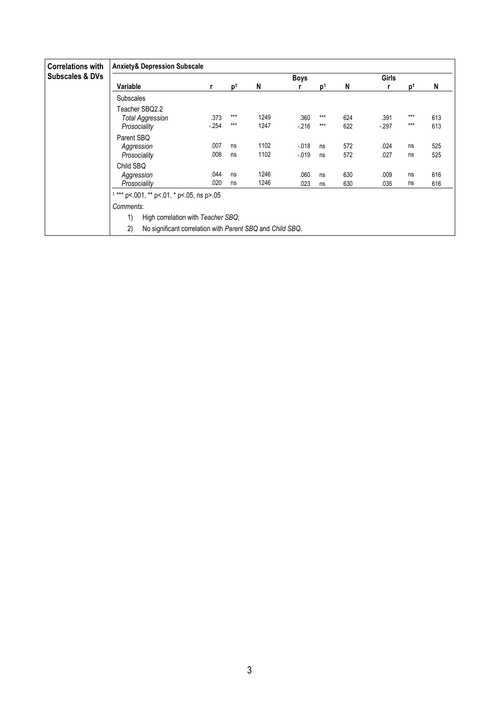| <b>Correlations with</b>   | <b>Anxiety&amp; Depression Subscale</b>                                                                                                                                |                |                |              |                      |                |            |                |              |            |
|----------------------------|------------------------------------------------------------------------------------------------------------------------------------------------------------------------|----------------|----------------|--------------|----------------------|----------------|------------|----------------|--------------|------------|
| <b>Subscales &amp; DVs</b> |                                                                                                                                                                        |                |                |              | <b>Boys</b>          |                |            | <b>Girls</b>   |              |            |
|                            | Variable                                                                                                                                                               |                | p <sup>1</sup> | N            |                      | D              | N          | r              | D            | N          |
|                            | <b>Subscales</b>                                                                                                                                                       |                |                |              |                      |                |            |                |              |            |
|                            | Teacher SBQ2.2<br><b>Total Aggression</b><br>Prosociality                                                                                                              | .373<br>$-254$ | $***$<br>$***$ | 1249<br>1247 | .360<br>$-216$       | $***$<br>$***$ | 624<br>622 | .391<br>$-297$ | ***<br>$***$ | 613<br>613 |
|                            | Parent SBQ<br>Aggression<br>Prosociality                                                                                                                               | .007<br>.008   | ns<br>ns       | 1102<br>1102 | $-0.018$<br>$-0.019$ | ns<br>ns       | 572<br>572 | .024<br>.027   | ns<br>ns     | 525<br>525 |
|                            | Child SBQ<br>Aggression<br>Prosociality                                                                                                                                | .044<br>.020   | ns<br>ns       | 1246<br>1246 | .060<br>.023         | ns<br>ns       | 630<br>630 | .009<br>.035   | ns<br>ns     | 616<br>616 |
|                            | $1***$ p<.001, ** p<.01, * p<.05, ns p>.05<br>Comments:<br>High correlation with Teacher SBQ;<br>1)<br>2)<br>No significant correlation with Parent SBQ and Child SBQ. |                |                |              |                      |                |            |                |              |            |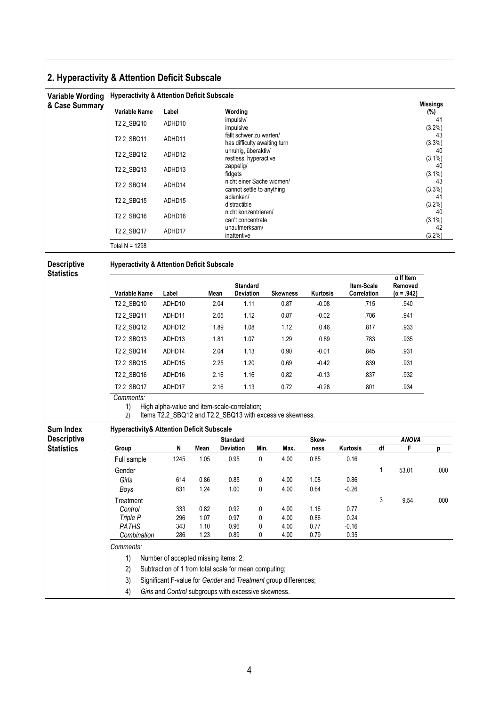## 2. Hyperactivity & Attention Deficit Subscale

| <b>Variable Wording</b> | <b>Hyperactivity &amp; Attention Deficit Subscale</b> |            |                                                                                                          |                                                         |        |                 |              |                   |              |                             |                     |
|-------------------------|-------------------------------------------------------|------------|----------------------------------------------------------------------------------------------------------|---------------------------------------------------------|--------|-----------------|--------------|-------------------|--------------|-----------------------------|---------------------|
| & Case Summary          | Variable Name                                         | Label      |                                                                                                          |                                                         |        |                 |              |                   |              |                             | <b>Missings</b>     |
|                         | T2.2_SBQ10                                            | ADHD10     |                                                                                                          | Wording<br>impulsiv/<br>impulsive                       |        |                 |              |                   |              |                             | (%)<br>41<br>(3.2%) |
|                         | T2.2_SBQ11                                            | ADHD11     |                                                                                                          | fällt schwer zu warten/<br>has difficulty awaiting turn |        |                 |              |                   |              |                             | 43<br>$(3.3\%)$     |
|                         | T2.2_SBQ12                                            | ADHD12     |                                                                                                          | unruhig, überaktiv/<br>restless, hyperactive            |        |                 |              |                   |              |                             | 40<br>$(3.1\%)$     |
|                         | T2.2_SBQ13                                            | ADHD13     |                                                                                                          | zappelig/<br>fidgets                                    |        |                 |              |                   |              |                             | 40<br>$(3.1\%)$     |
|                         | T2.2_SBQ14                                            | ADHD14     |                                                                                                          | nicht einer Sache widmen/<br>cannot settle to anything  |        |                 |              |                   |              |                             | 43<br>(3.3%)        |
|                         | T2.2_SBQ15                                            | ADHD15     |                                                                                                          | ablenken/<br>distractible                               |        |                 |              |                   |              |                             | 41<br>$(3.2\%)$     |
|                         | T2.2_SBQ16                                            | ADHD16     |                                                                                                          | nicht konzentrieren/<br>can't concentrate               |        |                 |              |                   |              |                             | 40<br>$(3.1\%)$     |
|                         | T2.2_SBQ17                                            | ADHD17     |                                                                                                          | unaufmerksam/<br>inattentive                            |        |                 |              |                   |              |                             | 42<br>(3.2%)        |
|                         | Total $N = 1298$                                      |            |                                                                                                          |                                                         |        |                 |              |                   |              |                             |                     |
| <b>Descriptive</b>      | <b>Hyperactivity &amp; Attention Deficit Subscale</b> |            |                                                                                                          |                                                         |        |                 |              |                   |              |                             |                     |
| <b>Statistics</b>       |                                                       |            |                                                                                                          | <b>Standard</b>                                         |        |                 |              | <b>Item-Scale</b> |              | $\alpha$ If Item<br>Removed |                     |
|                         | Variable Name                                         | Label      | Mean                                                                                                     | Deviation                                               |        | <b>Skewness</b> | Kurtosis     | Correlation       |              | $(\alpha = .942)$           |                     |
|                         | T2.2_SBQ10                                            | ADHD10     | 2.04                                                                                                     | 1.11                                                    |        | 0.87            | $-0.08$      |                   | .715         | .940                        |                     |
|                         | T2.2_SBQ11                                            | ADHD11     | 2.05                                                                                                     | 1.12                                                    |        | 0.87            | $-0.02$      |                   | .706         | .941                        |                     |
|                         | T2.2_SBQ12                                            | ADHD12     | 1.89                                                                                                     | 1.08                                                    |        | 1.12            | 0.46         |                   | .817         | .933                        |                     |
|                         | T2.2_SBQ13                                            | ADHD13     | 1.81                                                                                                     | 1.07                                                    |        | 1.29            | 0.89         |                   | .783         | .935                        |                     |
|                         | T2.2_SBQ14                                            | ADHD14     | 2.04                                                                                                     | 1.13                                                    |        | 0.90            | $-0.01$      |                   | .845         | .931                        |                     |
|                         | T2.2_SBQ15                                            | ADHD15     | 2.25                                                                                                     | 1.20                                                    |        | 0.69            | $-0.42$      |                   | .839         | .931                        |                     |
|                         | T2.2_SBQ16                                            | ADHD16     | 2.16                                                                                                     | 1.16                                                    |        | 0.82            | $-0.13$      |                   | .837         | .932                        |                     |
|                         | T2.2_SBQ17                                            | ADHD17     | 2.16                                                                                                     | 1.13                                                    |        | 0.72            | $-0.28$      |                   | .801         | .934                        |                     |
|                         | Comments:<br>1)<br>2)                                 |            | High alpha-value and item-scale-correlation;<br>Items T2.2_SBQ12 and T2.2_SBQ13 with excessive skewness. |                                                         |        |                 |              |                   |              |                             |                     |
| Sum Index               | <b>Hyperactivity&amp; Attention Deficit Subscale</b>  |            |                                                                                                          |                                                         |        |                 |              |                   |              |                             |                     |
| <b>Descriptive</b>      |                                                       |            |                                                                                                          | <b>Standard</b>                                         |        |                 | Skew-        |                   |              | <b>ANOVA</b>                |                     |
| <b>Statistics</b>       | Group                                                 | N          | Mean                                                                                                     | <b>Deviation</b>                                        | Min.   | Max.            | ness         | Kurtosis          | df           | F                           | p                   |
|                         | Full sample                                           | 1245       | 1.05                                                                                                     | 0.95                                                    | 0      | 4.00            | 0.85         | 0.16              |              |                             |                     |
|                         | Gender<br>Girls                                       | 614        | 0.86                                                                                                     | 0.85                                                    | 0      | 4.00            | 1.08         | 0.86              | $\mathbf{1}$ | 53.01                       | .000                |
|                         | <b>Boys</b>                                           | 631        | 1.24                                                                                                     | 1.00                                                    | 0      | 4.00            | 0.64         | $-0.26$           |              |                             |                     |
|                         | Treatment                                             |            |                                                                                                          |                                                         |        |                 |              |                   | 3            | 9.54                        | .000                |
|                         | Control                                               | 333        | 0.82                                                                                                     | 0.92                                                    | 0      | 4.00            | 1.16         | 0.77              |              |                             |                     |
|                         | Triple P                                              | 296        | 1.07                                                                                                     | 0.97                                                    | 0      | 4.00            | 0.86         | 0.24              |              |                             |                     |
|                         | <b>PATHS</b><br>Combination                           | 343<br>286 | 1.10<br>1.23                                                                                             | 0.96                                                    | 0<br>0 | 4.00            | 0.77<br>0.79 | $-0.16$<br>0.35   |              |                             |                     |
|                         |                                                       |            |                                                                                                          | 0.89                                                    |        | 4.00            |              |                   |              |                             |                     |
|                         | Comments:                                             |            |                                                                                                          |                                                         |        |                 |              |                   |              |                             |                     |
|                         | 1)                                                    |            | Number of accepted missing items: 2;                                                                     |                                                         |        |                 |              |                   |              |                             |                     |
|                         | 2)                                                    |            | Subtraction of 1 from total scale for mean computing;                                                    |                                                         |        |                 |              |                   |              |                             |                     |
|                         | 3)                                                    |            | Significant F-value for Gender and Treatment group differences;                                          |                                                         |        |                 |              |                   |              |                             |                     |
|                         | 4)                                                    |            | Girls and Control subgroups with excessive skewness.                                                     |                                                         |        |                 |              |                   |              |                             |                     |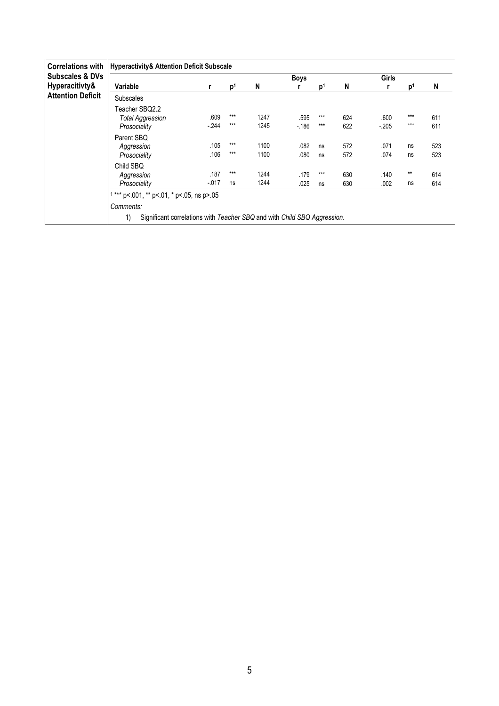| <b>Correlations with</b>   | <b>Hyperactivity&amp; Attention Deficit Subscale</b>                           |          |                |      |             |                |     |        |                |     |
|----------------------------|--------------------------------------------------------------------------------|----------|----------------|------|-------------|----------------|-----|--------|----------------|-----|
| <b>Subscales &amp; DVs</b> |                                                                                |          |                |      | <b>Boys</b> |                |     | Girls  |                |     |
| Hyperacitivty&             | Variable                                                                       |          | p <sup>1</sup> | N    |             | p <sup>1</sup> | N   |        | D <sup>1</sup> | N   |
| <b>Attention Deficit</b>   | <b>Subscales</b>                                                               |          |                |      |             |                |     |        |                |     |
|                            | Teacher SBQ2.2                                                                 |          |                |      |             |                |     |        |                |     |
|                            | <b>Total Aggression</b>                                                        | .609     | $***$          | 1247 | .595        | $***$          | 624 | .600   | ***            | 611 |
|                            | Prosociality                                                                   | $-244$   | ***            | 1245 | $-186$      | $***$          | 622 | $-205$ | ***            | 611 |
|                            | Parent SBQ                                                                     |          |                |      |             |                |     |        |                |     |
|                            | Aggression                                                                     | .105     | $***$          | 1100 | .082        | ns             | 572 | .071   | ns             | 523 |
|                            | Prosociality                                                                   | .106     | $***$          | 1100 | .080        | ns             | 572 | .074   | ns             | 523 |
|                            | Child SBO                                                                      |          |                |      |             |                |     |        |                |     |
|                            | Aggression                                                                     | .187     | ***            | 1244 | .179        | $***$          | 630 | .140   | $**$           | 614 |
|                            | Prosociality                                                                   | $-0.017$ | ns             | 1244 | .025        | ns             | 630 | .002   | ns             | 614 |
|                            | <sup>1</sup> *** p<.001, ** p<.01, * p<.05, ns p>.05                           |          |                |      |             |                |     |        |                |     |
|                            | Comments:                                                                      |          |                |      |             |                |     |        |                |     |
|                            | Significant correlations with Teacher SBQ and with Child SBQ Aggression.<br>1) |          |                |      |             |                |     |        |                |     |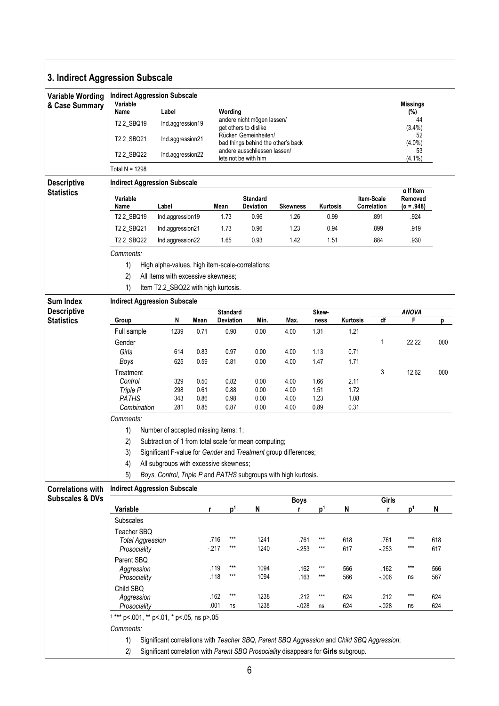## 3. Indirect Aggression Subscale

| טי                                                     |                                            |                                                                                                           |      |                  |                                                            |                  |                |          |                           |                                                  |      |
|--------------------------------------------------------|--------------------------------------------|-----------------------------------------------------------------------------------------------------------|------|------------------|------------------------------------------------------------|------------------|----------------|----------|---------------------------|--------------------------------------------------|------|
| <b>Variable Wording</b>                                | <b>Indirect Aggression Subscale</b>        |                                                                                                           |      |                  |                                                            |                  |                |          |                           |                                                  |      |
| & Case Summary                                         | Variable<br>Name                           | Label                                                                                                     |      | Wording          |                                                            |                  |                |          |                           | <b>Missings</b><br>(%)                           |      |
|                                                        | T2.2_SBQ19                                 | Ind.aggression19                                                                                          |      |                  | andere nicht mögen lassen/<br>get others to dislike        |                  |                |          |                           | 44<br>$(3.4\%)$                                  |      |
|                                                        | T2.2_SBQ21                                 | Ind.aggression21                                                                                          |      |                  | Rücken Gemeinheiten/<br>bad things behind the other's back |                  |                |          |                           | 52<br>$(4.0\%)$                                  |      |
|                                                        | T2.2_SBQ22                                 | Ind.aggression22                                                                                          |      |                  | andere ausschliessen lassen/<br>lets not be with him       |                  |                |          |                           | 53<br>$(4.1\%)$                                  |      |
|                                                        | Total $N = 1298$                           |                                                                                                           |      |                  |                                                            |                  |                |          |                           |                                                  |      |
| <b>Descriptive</b>                                     | <b>Indirect Aggression Subscale</b>        |                                                                                                           |      |                  |                                                            |                  |                |          |                           |                                                  |      |
| <b>Statistics</b>                                      | Variable<br>Name                           | Label                                                                                                     |      | Mean             | <b>Standard</b><br>Deviation                               | <b>Skewness</b>  | Kurtosis       |          | Item-Scale<br>Correlation | $\alpha$ If Item<br>Removed<br>$(\alpha = .948)$ |      |
|                                                        | T2.2_SBQ19                                 | Ind.aggression19                                                                                          |      | 1.73             | 0.96                                                       | 1.26             | 0.99           |          | .891                      | .924                                             |      |
|                                                        | T2.2_SBQ21                                 | Ind.aggression21                                                                                          |      | 1.73             | 0.96                                                       | 1.23             | 0.94           |          | .899                      | .919                                             |      |
|                                                        | T2.2_SBQ22                                 | Ind.aggression22                                                                                          |      | 1.65             | 0.93                                                       | 1.42             | 1.51           |          | .884                      | .930                                             |      |
|                                                        | Comments:                                  |                                                                                                           |      |                  |                                                            |                  |                |          |                           |                                                  |      |
|                                                        | 1)                                         | High alpha-values, high item-scale-correlations;                                                          |      |                  |                                                            |                  |                |          |                           |                                                  |      |
|                                                        | 2)                                         | All Items with excessive skewness;                                                                        |      |                  |                                                            |                  |                |          |                           |                                                  |      |
|                                                        | 1)                                         | Item T2.2_SBQ22 with high kurtosis.                                                                       |      |                  |                                                            |                  |                |          |                           |                                                  |      |
| <b>Sum Index</b>                                       | <b>Indirect Aggression Subscale</b>        |                                                                                                           |      |                  |                                                            |                  |                |          |                           |                                                  |      |
| <b>Descriptive</b>                                     |                                            |                                                                                                           |      | <b>Standard</b>  |                                                            |                  | Skew-          |          |                           | <b>ANOVA</b>                                     |      |
| <b>Statistics</b>                                      | Group                                      | N                                                                                                         | Mean | <b>Deviation</b> | Min.                                                       | Max.             | ness           | Kurtosis | df                        | F                                                | p    |
|                                                        | Full sample                                | 1239                                                                                                      | 0.71 | 0.90             | 0.00                                                       | 4.00             | 1.31           | 1.21     |                           |                                                  |      |
|                                                        | Gender                                     |                                                                                                           |      |                  |                                                            |                  |                |          | 1                         | 22.22                                            | .000 |
|                                                        | Girls                                      | 614                                                                                                       | 0.83 | 0.97             | 0.00                                                       | 4.00             | 1.13           | 0.71     |                           |                                                  |      |
|                                                        | Boys                                       | 625                                                                                                       | 0.59 | 0.81             | 0.00                                                       | 4.00             | 1.47           | 1.71     |                           |                                                  |      |
|                                                        | Treatment<br>Control                       | 329                                                                                                       | 0.50 | 0.82             | 0.00                                                       | 4.00             | 1.66           | 2.11     | 3                         | 12.62                                            | .000 |
|                                                        | Triple P                                   | 298                                                                                                       | 0.61 | 0.88             | 0.00                                                       | 4.00             | 1.51           | 1.72     |                           |                                                  |      |
|                                                        | <b>PATHS</b>                               | 343                                                                                                       | 0.86 | 0.98             | 0.00                                                       | 4.00             | 1.23           | 1.08     |                           |                                                  |      |
|                                                        | Combination                                | 281                                                                                                       | 0.85 | 0.87             | 0.00                                                       | 4.00             | 0.89           | 0.31     |                           |                                                  |      |
|                                                        | Comments:                                  |                                                                                                           |      |                  |                                                            |                  |                |          |                           |                                                  |      |
|                                                        | 1)                                         | Number of accepted missing items: 1;                                                                      |      |                  |                                                            |                  |                |          |                           |                                                  |      |
|                                                        | 2)                                         | Subtraction of 1 from total scale for mean computing;                                                     |      |                  |                                                            |                  |                |          |                           |                                                  |      |
|                                                        | 3)                                         | Significant F-value for Gender and Treatment group differences;<br>All subgroups with excessive skewness; |      |                  |                                                            |                  |                |          |                           |                                                  |      |
|                                                        | 4)<br>5)                                   | Boys, Control, Triple P and PATHS subgroups with high kurtosis.                                           |      |                  |                                                            |                  |                |          |                           |                                                  |      |
|                                                        |                                            |                                                                                                           |      |                  |                                                            |                  |                |          |                           |                                                  |      |
| <b>Correlations with</b><br><b>Subscales &amp; DVs</b> | <b>Indirect Aggression Subscale</b>        |                                                                                                           |      |                  |                                                            |                  |                |          |                           |                                                  |      |
|                                                        | Variable                                   |                                                                                                           | r    | p <sup>1</sup>   | N                                                          | <b>Boys</b><br>r | p <sup>1</sup> | N        | Girls<br>r                | p <sup>1</sup>                                   | N    |
|                                                        | <b>Subscales</b>                           |                                                                                                           |      |                  |                                                            |                  |                |          |                           |                                                  |      |
|                                                        | Teacher SBQ                                |                                                                                                           |      |                  |                                                            |                  |                |          |                           |                                                  |      |
|                                                        | <b>Total Aggression</b>                    |                                                                                                           |      | ***<br>.716      | 1241                                                       | .761             | $***$          | 618      | .761                      | $***$                                            | 618  |
|                                                        | Prosociality                               |                                                                                                           |      | $***$<br>$-217$  | 1240                                                       | $-253$           | $***$          | 617      | $-253$                    | $***$                                            | 617  |
|                                                        | Parent SBQ<br>Aggression                   |                                                                                                           |      | $***$<br>.119    | 1094                                                       | .162             | $***$          | 566      | .162                      | $***$                                            | 566  |
|                                                        | Prosociality                               |                                                                                                           |      | $***$<br>.118    | 1094                                                       | .163             | $***$          | 566      | $-0.06$                   | ns                                               | 567  |
|                                                        | Child SBQ                                  |                                                                                                           |      |                  |                                                            |                  |                |          |                           |                                                  |      |
|                                                        | Aggression                                 |                                                                                                           |      | .162<br>***      | 1238                                                       | .212             | $***$          | 624      | .212                      | $***$                                            | 624  |
|                                                        | Prosociality                               |                                                                                                           |      | .001<br>ns       | 1238                                                       | $-0.028$         | ns             | 624      | $-028$                    | ns                                               | 624  |
|                                                        | $1***$ p<.001, ** p<.01, * p<.05, ns p>.05 |                                                                                                           |      |                  |                                                            |                  |                |          |                           |                                                  |      |
|                                                        | Comments:                                  |                                                                                                           |      |                  |                                                            |                  |                |          |                           |                                                  |      |
|                                                        | 1)                                         | Significant correlations with Teacher SBQ, Parent SBQ Aggression and Child SBQ Aggression;                |      |                  |                                                            |                  |                |          |                           |                                                  |      |
|                                                        | 2)                                         | Significant correlation with Parent SBQ Prosociality disappears for Girls subgroup.                       |      |                  |                                                            |                  |                |          |                           |                                                  |      |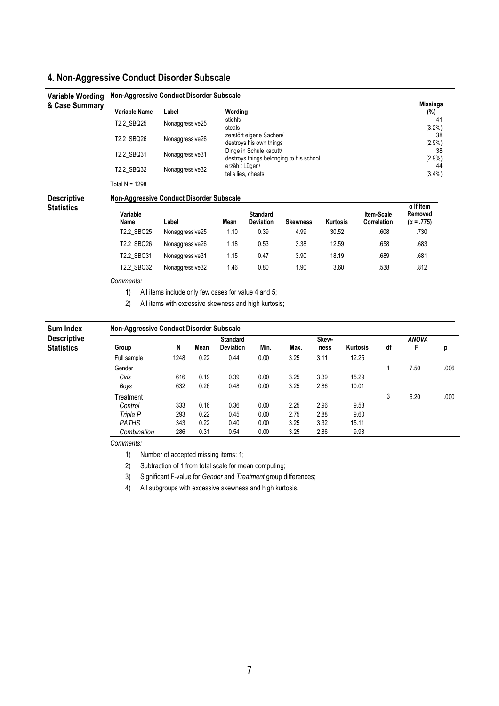| <b>Variable Wording</b>                              | Non-Aggressive Conduct Disorder Subscale |                                      |      |                                                             |                                                       |                                                                 |               |          |                           |                                                  |              |
|------------------------------------------------------|------------------------------------------|--------------------------------------|------|-------------------------------------------------------------|-------------------------------------------------------|-----------------------------------------------------------------|---------------|----------|---------------------------|--------------------------------------------------|--------------|
| & Case Summary                                       | Variable Name                            | Label                                |      | Wording                                                     |                                                       |                                                                 |               |          |                           | <b>Missings</b><br>$(\%)$                        |              |
|                                                      | T2.2_SBQ25                               | Nonaggressive25                      |      | stiehlt/                                                    |                                                       |                                                                 |               |          |                           |                                                  | 41           |
|                                                      | T2.2_SBQ26                               |                                      |      | steals                                                      | zerstört eigene Sachen/                               |                                                                 |               |          |                           | $(3.2\%)$                                        | 38           |
|                                                      |                                          | Nonaggressive26                      |      |                                                             | destroys his own things<br>Dinge in Schule kaputt/    |                                                                 |               |          |                           | $(2.9\%)$                                        | 38           |
|                                                      | T2.2 SBQ31                               | Nonaggressive31                      |      |                                                             |                                                       | destroys things belonging to his school                         |               |          |                           | $(2.9\%)$                                        |              |
|                                                      | T2.2_SBQ32                               | Nonaggressive32                      |      | erzählt Lügen/<br>tells lies, cheats                        |                                                       |                                                                 |               |          |                           | $(3.4\%)$                                        | 44           |
|                                                      | Total $N = 1298$                         |                                      |      |                                                             |                                                       |                                                                 |               |          |                           |                                                  |              |
| <b>Descriptive</b>                                   | Non-Aggressive Conduct Disorder Subscale |                                      |      |                                                             |                                                       |                                                                 |               |          |                           |                                                  |              |
| <b>Statistics</b>                                    | Variable<br>Name                         | Label                                |      | Mean                                                        | <b>Standard</b><br>Deviation                          | <b>Skewness</b>                                                 | Kurtosis      |          | Item-Scale<br>Correlation | $\alpha$ If Item<br>Removed<br>$(\alpha = .775)$ |              |
|                                                      | T2.2_SBQ25                               | Nonaggressive25                      |      | 1.10                                                        | 0.39                                                  | 4.99                                                            | 30.52         |          | .608                      | .730                                             |              |
|                                                      | T2.2 SBQ26                               | Nonaggressive26                      |      | 1.18                                                        | 0.53                                                  | 3.38                                                            | 12.59         |          | .658                      | .683                                             |              |
|                                                      | T2.2 SBQ31                               | Nonaggressive31                      |      | 1.15                                                        | 0.47                                                  | 3.90                                                            | 18.19         |          | .689                      | .681                                             |              |
|                                                      |                                          |                                      |      |                                                             |                                                       |                                                                 |               |          |                           |                                                  |              |
|                                                      | T2.2_SBQ32<br>Comments:<br>1)            | Nonaggressive32                      |      | 1.46<br>All items include only few cases for value 4 and 5; | 0.80                                                  | 1.90                                                            | 3.60          |          | .538                      | .812                                             |              |
|                                                      | 2)                                       |                                      |      |                                                             | All items with excessive skewness and high kurtosis;  |                                                                 |               |          |                           |                                                  |              |
|                                                      | Non-Aggressive Conduct Disorder Subscale |                                      |      |                                                             |                                                       |                                                                 |               |          |                           |                                                  |              |
|                                                      | Group                                    | N                                    | Mean | <b>Standard</b><br><b>Deviation</b>                         | Min.                                                  | Max.                                                            | Skew-<br>ness | Kurtosis | df                        | <b>ANOVA</b><br>F                                | p            |
|                                                      | Full sample                              | 1248                                 | 0.22 | 0.44                                                        | 0.00                                                  | 3.25                                                            | 3.11          | 12.25    |                           |                                                  |              |
|                                                      | Gender                                   |                                      |      |                                                             |                                                       |                                                                 |               |          | 1                         | 7.50                                             |              |
|                                                      | Girls                                    | 616                                  | 0.19 | 0.39                                                        | 0.00                                                  | 3.25                                                            | 3.39          | 15.29    |                           |                                                  |              |
|                                                      | Boys                                     | 632                                  | 0.26 | 0.48                                                        | 0.00                                                  | 3.25                                                            | 2.86          | 10.01    | 3                         | 6.20                                             |              |
|                                                      | Treatment<br>Control                     | 333                                  | 0.16 | 0.36                                                        | 0.00                                                  | 2.25                                                            | 2.96          | 9.58     |                           |                                                  |              |
|                                                      | Triple P                                 | 293                                  | 0.22 | 0.45                                                        | 0.00                                                  | 2.75                                                            | 2.88          | 9.60     |                           |                                                  | .006<br>.000 |
|                                                      | <b>PATHS</b>                             | 343                                  | 0.22 | 0.40                                                        | 0.00                                                  | 3.25                                                            | 3.32          | 15.11    |                           |                                                  |              |
|                                                      | Combination                              | 286                                  | 0.31 | 0.54                                                        | 0.00                                                  | 3.25                                                            | 2.86          | 9.98     |                           |                                                  |              |
|                                                      | Comments:                                |                                      |      |                                                             |                                                       |                                                                 |               |          |                           |                                                  |              |
|                                                      | 1)                                       | Number of accepted missing items: 1; |      |                                                             |                                                       |                                                                 |               |          |                           |                                                  |              |
| Sum Index<br><b>Descriptive</b><br><b>Statistics</b> | 2)<br>3)                                 |                                      |      |                                                             | Subtraction of 1 from total scale for mean computing; | Significant F-value for Gender and Treatment group differences; |               |          |                           |                                                  |              |

٦

 $\mathbf{r}$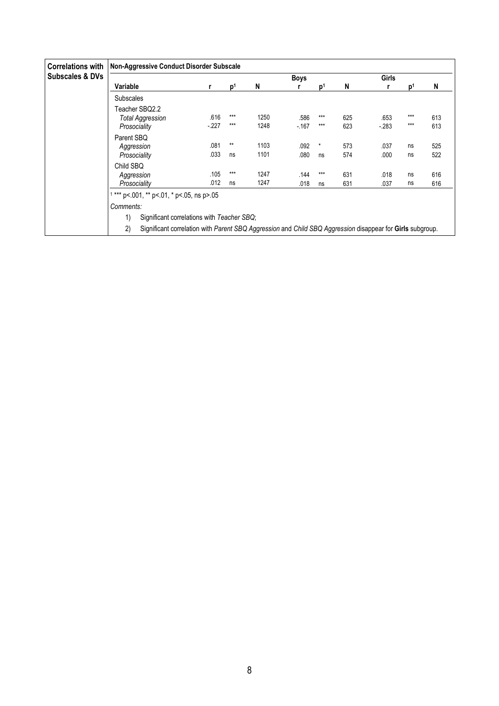| <b>Correlations with</b>   | Non-Aggressive Conduct Disorder Subscale                                                                                                                                                                                            |                |                |              |                |              |            |                |              |            |
|----------------------------|-------------------------------------------------------------------------------------------------------------------------------------------------------------------------------------------------------------------------------------|----------------|----------------|--------------|----------------|--------------|------------|----------------|--------------|------------|
| <b>Subscales &amp; DVs</b> |                                                                                                                                                                                                                                     |                |                |              | <b>Boys</b>    |              |            | Girls          |              |            |
|                            | Variable                                                                                                                                                                                                                            |                | $\mathsf{D}^1$ | N            |                | <b>D</b>     | N          |                | D            | N          |
|                            | <b>Subscales</b>                                                                                                                                                                                                                    |                |                |              |                |              |            |                |              |            |
|                            | Teacher SBQ2.2<br><b>Total Aggression</b><br>Prosociality                                                                                                                                                                           | .616<br>$-227$ | $***$<br>***   | 1250<br>1248 | .586<br>$-167$ | $***$<br>*** | 625<br>623 | .653<br>$-283$ | ***<br>$***$ | 613<br>613 |
|                            | Parent SBQ<br>Aggression<br>Prosociality                                                                                                                                                                                            | .081<br>.033   | $***$<br>ns    | 1103<br>1101 | .092<br>.080   | *<br>ns      | 573<br>574 | .037<br>.000   | ns<br>ns     | 525<br>522 |
|                            | Child SBQ<br>Aggression<br>Prosociality                                                                                                                                                                                             | .105<br>.012   | ***<br>ns      | 1247<br>1247 | .144<br>.018   | ***<br>ns    | 631<br>631 | .018<br>.037   | ns<br>ns     | 616<br>616 |
|                            | *** p <. 001, ** p <. 01, * p <. 05, ns p >. 05<br>Comments:<br>Significant correlations with Teacher SBQ;<br>1)<br>2)<br>Significant correlation with Parent SBQ Aggression and Child SBQ Aggression disappear for Girls subgroup. |                |                |              |                |              |            |                |              |            |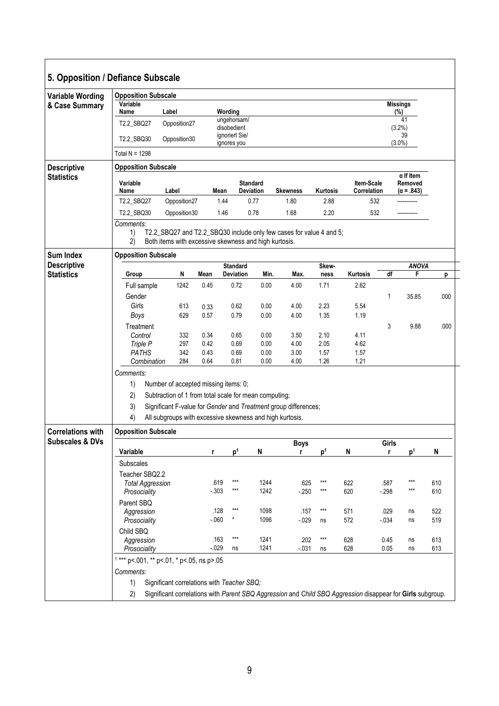| 5. Opposition / Defiance Subscale |                                            |                                                                                                                              |              |                               |                  |                 |                |                   |              |                             |      |
|-----------------------------------|--------------------------------------------|------------------------------------------------------------------------------------------------------------------------------|--------------|-------------------------------|------------------|-----------------|----------------|-------------------|--------------|-----------------------------|------|
| <b>Variable Wording</b>           | <b>Opposition Subscale</b>                 |                                                                                                                              |              |                               |                  |                 |                |                   |              |                             |      |
| & Case Summary                    | Variable<br>Name                           | Label                                                                                                                        |              | Wording                       |                  |                 |                |                   |              | <b>Missings</b><br>(%)      |      |
|                                   | T2.2 SBQ27                                 | Opposition27                                                                                                                 |              | ungehorsam/                   |                  |                 |                |                   |              | 41                          |      |
|                                   | T2.2_SBQ30                                 | Opposition30                                                                                                                 |              | disobedient<br>ignoriert Sie/ |                  |                 |                |                   |              | (3.2%)<br>39                |      |
|                                   | Total $N = 1298$                           |                                                                                                                              |              | ignores you                   |                  |                 |                |                   |              | $(3.0\%)$                   |      |
| <b>Descriptive</b>                | <b>Opposition Subscale</b>                 |                                                                                                                              |              |                               |                  |                 |                |                   |              |                             |      |
| <b>Statistics</b>                 | Variable                                   |                                                                                                                              |              |                               | <b>Standard</b>  |                 |                | <b>Item-Scale</b> |              | $\alpha$ If Item<br>Removed |      |
|                                   | Name                                       | Label                                                                                                                        | Mean         |                               | <b>Deviation</b> | <b>Skewness</b> | Kurtosis       | Correlation       |              | $(\alpha = .843)$           |      |
|                                   | T2.2_SBQ27                                 | Opposition27                                                                                                                 | 1.44         |                               | 0.77             | 1.80            | 2.88           | .532              |              |                             |      |
|                                   | T2.2_SBQ30                                 | Opposition30                                                                                                                 | 1.46         |                               | 0.78             | 1.68            | 2.20           | .532              |              |                             |      |
|                                   | Comments:<br>1)<br>2)                      | T2.2_SBQ27 and T2.2_SBQ30 include only few cases for value 4 and 5;<br>Both items with excessive skewness and high kurtosis. |              |                               |                  |                 |                |                   |              |                             |      |
| Sum Index                         | <b>Opposition Subscale</b>                 |                                                                                                                              |              |                               |                  |                 |                |                   |              |                             |      |
| <b>Descriptive</b>                | Group                                      | N                                                                                                                            |              | <b>Standard</b><br>Deviation  |                  |                 | Skew-          | Kurtosis          | df           | <b>ANOVA</b><br>F           |      |
| <b>Statistics</b>                 |                                            | 1242                                                                                                                         | Mean<br>0.45 | 0.72                          | Min.<br>0.00     | Max.<br>4.00    | ness<br>1.71   | 2.62              |              |                             | р    |
|                                   | Full sample<br>Gender                      |                                                                                                                              |              |                               |                  |                 |                |                   | $\mathbf{1}$ | 35.85                       | .000 |
|                                   | Girls                                      | 613                                                                                                                          | 0.33         | 0.62                          | 0.00             | 4.00            | 2.23           | 5.54              |              |                             |      |
|                                   | Boys                                       | 629                                                                                                                          | 0.57         | 0.79                          | 0.00             | 4.00            | 1.35           | 1.19              |              |                             |      |
|                                   | Treatment                                  |                                                                                                                              |              |                               |                  |                 |                |                   | 3            | 9.88                        | .000 |
|                                   | Control                                    | 332                                                                                                                          | 0.34         | 0.65                          | 0.00             | 3.50            | 2.10           | 4.11              |              |                             |      |
|                                   | Triple P                                   | 297                                                                                                                          | 0.42         | 0.69                          | 0.00             | 4.00            | 2.05           | 4.62              |              |                             |      |
|                                   | <b>PATHS</b>                               | 342                                                                                                                          | 0.43         | 0.69                          | 0.00             | 3.00            | 1.57           | 1.57              |              |                             |      |
|                                   | Combination                                | 284                                                                                                                          | 0.64         | 0.81                          | 0.00             | 4.00            | 1.26           | 1.21              |              |                             |      |
|                                   | Comments:                                  |                                                                                                                              |              |                               |                  |                 |                |                   |              |                             |      |
|                                   | 1)                                         | Number of accepted missing items: 0;                                                                                         |              |                               |                  |                 |                |                   |              |                             |      |
|                                   | 2)                                         | Subtraction of 1 from total scale for mean computing;                                                                        |              |                               |                  |                 |                |                   |              |                             |      |
|                                   | 3)                                         | Significant F-value for Gender and Treatment group differences;                                                              |              |                               |                  |                 |                |                   |              |                             |      |
|                                   | 4)                                         | All subgroups with excessive skewness and high kurtosis.                                                                     |              |                               |                  |                 |                |                   |              |                             |      |
| <b>Correlations with</b>          | <b>Opposition Subscale</b>                 |                                                                                                                              |              |                               |                  |                 |                |                   |              |                             |      |
| <b>Subscales &amp; DVs</b>        |                                            |                                                                                                                              |              |                               |                  | <b>Boys</b>     |                |                   | Girls        |                             |      |
|                                   | Variable                                   |                                                                                                                              | r            | p <sup>1</sup>                | N                | r               | p <sup>1</sup> | N                 | r            | p <sup>1</sup>              | N    |
|                                   | Subscales                                  |                                                                                                                              |              |                               |                  |                 |                |                   |              |                             |      |
|                                   | Teacher SBQ2.2<br><b>Total Aggression</b>  |                                                                                                                              | .619         | $***$                         | 1244             | .625            | ***            | 622               | .587         | ***                         | 610  |
|                                   | Prosociality                               |                                                                                                                              | $-0.303$     | ***                           | 1242             | $-250$          | ***            | 620               | $-298$       | ***                         | 610  |
|                                   | Parent SBQ                                 |                                                                                                                              |              |                               |                  |                 |                |                   |              |                             |      |
|                                   | Aggression                                 |                                                                                                                              | .128         | ***                           | 1098             | .157            | $***$          | 571               | .029         | ns                          | 522  |
|                                   | Prosociality                               |                                                                                                                              | $-060$       | *                             | 1096             | $-0.29$         | ns             | 572               | $-0.34$      | ns                          | 519  |
|                                   | Child SBQ                                  |                                                                                                                              |              |                               |                  |                 |                |                   |              |                             |      |
|                                   | Aggression                                 |                                                                                                                              | .163         | ***                           | 1241             | .202            | $***$          | 628               | 0.45         | ns                          | 613  |
|                                   | Prosociality                               |                                                                                                                              | $-0.029$     | ns                            | 1241             | $-0.31$         | ns             | 628               | 0.05         | ns                          | 613  |
|                                   | $1***$ p<.001, ** p<.01, * p<.05, ns p>.05 |                                                                                                                              |              |                               |                  |                 |                |                   |              |                             |      |
|                                   | Comments:                                  |                                                                                                                              |              |                               |                  |                 |                |                   |              |                             |      |
|                                   | 1)                                         | Significant correlations with Teacher SBQ;                                                                                   |              |                               |                  |                 |                |                   |              |                             |      |
|                                   | 2)                                         | Significant correlations with Parent SBQ Aggression and Child SBQ Aggression disappear for Girls subgroup.                   |              |                               |                  |                 |                |                   |              |                             |      |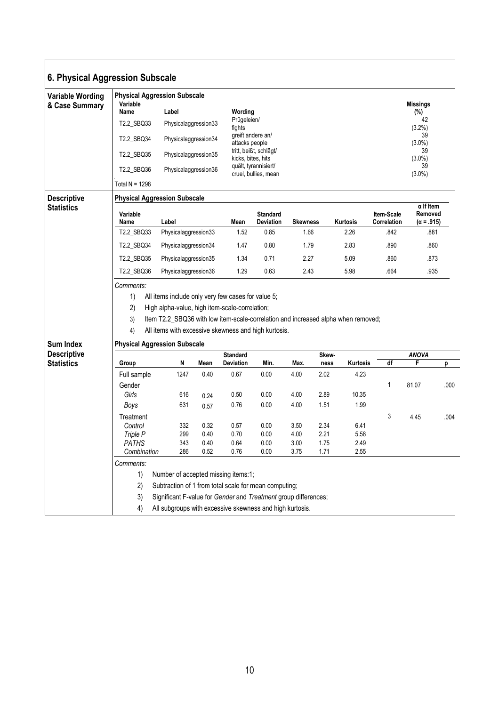| 6. Physical Aggression Subscale |
|---------------------------------|
|---------------------------------|

| <b>Variable Wording</b>                              | <b>Physical Aggression Subscale</b> |                                                                                   |                      |                              |                                              |      |          |                           |                                           |                        |      |
|------------------------------------------------------|-------------------------------------|-----------------------------------------------------------------------------------|----------------------|------------------------------|----------------------------------------------|------|----------|---------------------------|-------------------------------------------|------------------------|------|
| & Case Summary                                       | Variable<br>Name                    | Label                                                                             |                      | Wording                      |                                              |      |          |                           |                                           | <b>Missings</b><br>(%) |      |
|                                                      | T2.2_SBQ33                          | Physicalaggression33                                                              |                      | Prügeleien/                  |                                              |      |          |                           |                                           | 42                     |      |
|                                                      |                                     |                                                                                   |                      | fights<br>greift andere an/  |                                              |      |          |                           |                                           | (3.2%)<br>39           |      |
|                                                      | T2.2_SBQ34                          | Physicalaggression34                                                              |                      | attacks people               |                                              |      |          |                           |                                           | $(3.0\%)$              |      |
|                                                      | T2.2_SBQ35                          | Physicalaggression35                                                              |                      | kicks, bites, hits           | tritt, beißt, schlägt/                       |      |          |                           |                                           | 39<br>$(3.0\%)$        |      |
|                                                      | T2.2_SBQ36                          | Physicalaggression36                                                              |                      |                              | quält, tyrannisiert/<br>cruel, bullies, mean |      |          |                           |                                           | 39<br>$(3.0\%)$        |      |
|                                                      | Total N = 1298                      |                                                                                   |                      |                              |                                              |      |          |                           |                                           |                        |      |
| <b>Descriptive</b>                                   | <b>Physical Aggression Subscale</b> |                                                                                   |                      |                              |                                              |      |          |                           |                                           |                        |      |
| <b>Statistics</b>                                    | Variable<br>Name<br>Label           |                                                                                   | Mean                 | <b>Standard</b><br>Deviation | <b>Skewness</b>                              |      | Kurtosis | Item-Scale<br>Correlation | α If Item<br>Removed<br>$(\alpha = .915)$ |                        |      |
|                                                      | T2.2_SBQ33                          | Physicalaggression33                                                              |                      | 1.52                         | 0.85                                         | 1.66 |          | 2.26                      | .842                                      | .881                   |      |
|                                                      | T2.2_SBQ34                          | Physicalaggression34                                                              |                      | 1.47                         | 0.80                                         | 1.79 |          | 2.83                      | .890                                      | .860                   |      |
|                                                      | T2.2_SBQ35                          |                                                                                   | Physicalaggression35 | 1.34                         | 0.71                                         | 2.27 |          | 5.09                      | .860                                      | .873                   |      |
|                                                      | T2.2_SBQ36                          | Physicalaggression36                                                              |                      | 1.29                         | 0.63                                         | 2.43 |          | 5.98                      | .664                                      | .935                   |      |
|                                                      |                                     |                                                                                   |                      |                              |                                              |      |          |                           |                                           |                        |      |
|                                                      | Comments:                           |                                                                                   |                      |                              |                                              |      |          |                           |                                           |                        |      |
|                                                      |                                     |                                                                                   |                      |                              |                                              |      |          |                           |                                           |                        |      |
|                                                      | 1)                                  | All items include only very few cases for value 5;                                |                      |                              |                                              |      |          |                           |                                           |                        |      |
|                                                      | 2)                                  | High alpha-value, high item-scale-correlation;                                    |                      |                              |                                              |      |          |                           |                                           |                        |      |
|                                                      | 3)                                  | Item T2.2_SBQ36 with low item-scale-correlation and increased alpha when removed; |                      |                              |                                              |      |          |                           |                                           |                        |      |
|                                                      | 4)                                  | All items with excessive skewness and high kurtosis.                              |                      |                              |                                              |      |          |                           |                                           |                        |      |
|                                                      | <b>Physical Aggression Subscale</b> |                                                                                   |                      | <b>Standard</b>              |                                              |      | Skew-    |                           |                                           |                        |      |
|                                                      | Group                               | N                                                                                 | Mean                 | Deviation                    | Min.                                         | Max. | ness     | Kurtosis                  | df                                        | <b>ANOVA</b><br>F      | p    |
|                                                      | Full sample                         | 1247                                                                              | 0.40                 | 0.67                         | 0.00                                         | 4.00 | 2.02     | 4.23                      |                                           |                        |      |
|                                                      | Gender                              |                                                                                   |                      |                              |                                              |      |          |                           | 1                                         | 81.07                  |      |
|                                                      | Girls                               | 616                                                                               | 0.24                 | 0.50                         | 0.00                                         | 4.00 | 2.89     | 10.35                     |                                           |                        | .000 |
|                                                      | Boys                                | 631                                                                               | 0.57                 | 0.76                         | 0.00                                         | 4.00 | 1.51     | 1.99                      |                                           |                        |      |
|                                                      | Treatment                           |                                                                                   |                      |                              |                                              |      |          |                           | 3                                         | 4.45                   | .004 |
|                                                      | Control                             | 332                                                                               | 0.32                 | 0.57                         | 0.00                                         | 3.50 | 2.34     | 6.41                      |                                           |                        |      |
|                                                      | Triple P                            | 299                                                                               | 0.40                 | 0.70                         | 0.00                                         | 4.00 | 2.21     | 5.58                      |                                           |                        |      |
|                                                      | PATHS                               | 343                                                                               | 0.40                 | 0.64                         | 0.00                                         | 3.00 | 1.75     | 2.49                      |                                           |                        |      |
|                                                      | Combination                         | 286                                                                               | 0.52                 | 0.76                         | 0.00                                         | 3.75 | 1.71     | 2.55                      |                                           |                        |      |
|                                                      | Comments:                           |                                                                                   |                      |                              |                                              |      |          |                           |                                           |                        |      |
|                                                      | 1)                                  | Number of accepted missing items:1;                                               |                      |                              |                                              |      |          |                           |                                           |                        |      |
| Sum Index<br><b>Descriptive</b><br><b>Statistics</b> | 2)                                  | Subtraction of 1 from total scale for mean computing;                             |                      |                              |                                              |      |          |                           |                                           |                        |      |
|                                                      | 3)                                  | Significant F-value for Gender and Treatment group differences;                   |                      |                              |                                              |      |          |                           |                                           |                        |      |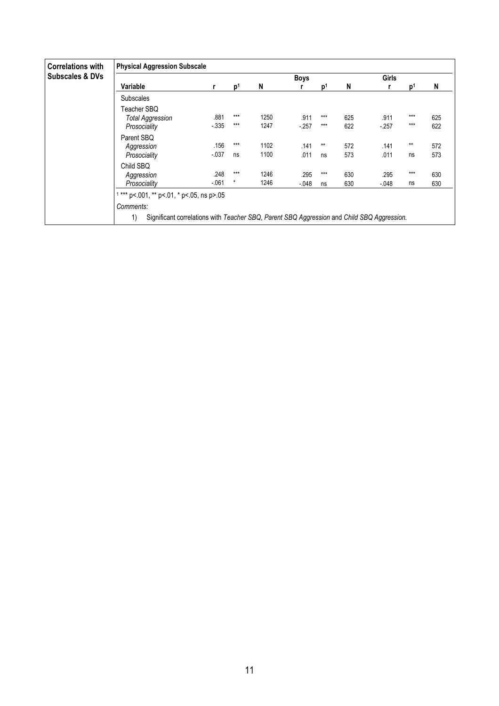| <b>Correlations with</b>   | <b>Physical Aggression Subscale</b>                                                              |         |                |      |             |                |     |              |       |     |  |  |
|----------------------------|--------------------------------------------------------------------------------------------------|---------|----------------|------|-------------|----------------|-----|--------------|-------|-----|--|--|
| <b>Subscales &amp; DVs</b> |                                                                                                  |         |                |      | <b>Boys</b> |                |     | <b>Girls</b> |       |     |  |  |
|                            | Variable                                                                                         | r       | $\mathbf{D}^1$ | N    |             | D <sup>1</sup> | N   |              | D     | N   |  |  |
|                            | <b>Subscales</b>                                                                                 |         |                |      |             |                |     |              |       |     |  |  |
|                            | Teacher SBQ                                                                                      |         |                |      |             |                |     |              |       |     |  |  |
|                            | <b>Total Aggression</b>                                                                          | .881    | $***$          | 1250 | .911        | ***            | 625 | .911         | $***$ | 625 |  |  |
|                            | Prosociality                                                                                     | $-335$  | $***$          | 1247 | $-257$      | $***$          | 622 | $-257$       | $***$ | 622 |  |  |
|                            | Parent SBQ                                                                                       |         |                |      |             |                |     |              |       |     |  |  |
|                            | Aggression                                                                                       | .156    | $***$          | 1102 | .141        | $**$           | 572 | .141         | $***$ | 572 |  |  |
|                            | Prosociality                                                                                     | $-0.37$ | ns             | 1100 | .011        | ns             | 573 | .011         | ns    | 573 |  |  |
|                            | Child SBQ                                                                                        |         |                |      |             |                |     |              |       |     |  |  |
|                            | Aggression                                                                                       | .248    | $***$          | 1246 | .295        | $***$          | 630 | .295         | $***$ | 630 |  |  |
|                            | Prosociality                                                                                     | $-061$  | $\star$        | 1246 | $-0.048$    | ns             | 630 | $-.048$      | ns    | 630 |  |  |
|                            | *** p <. 001, ** p <. 01, * p <. 05, ns p >. 05                                                  |         |                |      |             |                |     |              |       |     |  |  |
|                            | Comments:                                                                                        |         |                |      |             |                |     |              |       |     |  |  |
|                            | 1)<br>Significant correlations with Teacher SBQ, Parent SBQ Aggression and Child SBQ Aggression. |         |                |      |             |                |     |              |       |     |  |  |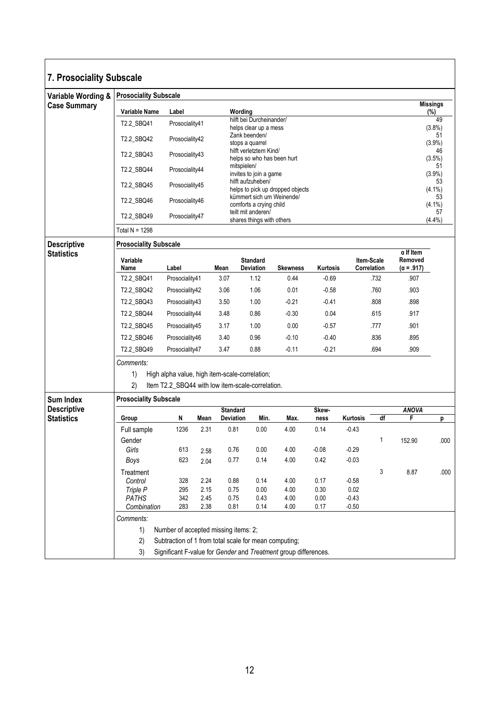| <b>7. Prosociality Subscale</b> |                                               |                                      |              |                                                      |                                                           |                                                                 |              |                     |              |                             |                        |  |
|---------------------------------|-----------------------------------------------|--------------------------------------|--------------|------------------------------------------------------|-----------------------------------------------------------|-----------------------------------------------------------------|--------------|---------------------|--------------|-----------------------------|------------------------|--|
| Variable Wording &              | <b>Prosociality Subscale</b>                  |                                      |              |                                                      |                                                           |                                                                 |              |                     |              |                             |                        |  |
| <b>Case Summary</b>             | Variable Name                                 | Label                                |              |                                                      | Wording                                                   |                                                                 |              |                     |              |                             | <b>Missings</b><br>(%) |  |
|                                 | T2.2_SBQ41                                    | Prosociality41                       |              |                                                      | hilft bei Durcheinander/                                  |                                                                 |              |                     |              |                             | 49<br>(3.8%)           |  |
|                                 | T2.2_SBQ42                                    | Prosociality42                       |              |                                                      | helps clear up a mess<br>Zank beenden/<br>stops a quarrel |                                                                 |              |                     |              | 51<br>$(3.9\%)$             |                        |  |
|                                 | T2.2_SBQ43                                    | Prosociality43                       |              | hilft verletztem Kind/<br>helps so who has been hurt |                                                           | 46<br>$(3.5\%)$                                                 |              |                     |              |                             |                        |  |
|                                 | T2.2 SBQ44                                    | Prosociality44                       |              | mitspielen/<br>invites to join a game                |                                                           |                                                                 |              |                     |              |                             | 51<br>$(3.9\%)$        |  |
|                                 | T2.2 SBQ45                                    | Prosociality45                       |              |                                                      | hilft aufzuheben/                                         | helps to pick up dropped objects                                |              |                     |              |                             | 53<br>$(4.1\%)$        |  |
|                                 | T2.2 SBQ46                                    | Prosociality46                       |              |                                                      | kümmert sich um Weinende/<br>comforts a crying child      |                                                                 |              |                     |              |                             | 53<br>$(4.1\%)$        |  |
|                                 | T2.2_SBQ49                                    | Prosociality47                       |              |                                                      | teilt mit anderen/                                        |                                                                 |              |                     |              |                             | 57<br>(4.4%)           |  |
|                                 | shares things with others<br>Total $N = 1298$ |                                      |              |                                                      |                                                           |                                                                 |              |                     |              |                             |                        |  |
| <b>Descriptive</b>              | <b>Prosociality Subscale</b>                  |                                      |              |                                                      |                                                           |                                                                 |              |                     |              |                             |                        |  |
| <b>Statistics</b>               | Variable                                      |                                      |              |                                                      | <b>Standard</b>                                           |                                                                 |              |                     | Item-Scale   | $\alpha$ If Item<br>Removed |                        |  |
|                                 | Name                                          | Label                                |              | Mean                                                 | <b>Deviation</b>                                          | <b>Skewness</b>                                                 | Kurtosis     |                     | Correlation  | $(\alpha = .917)$           |                        |  |
|                                 | T2.2_SBQ41                                    | Prosociality41                       |              | 3.07                                                 | 1.12                                                      | 0.44                                                            | $-0.69$      |                     | .732         | .907                        |                        |  |
|                                 | T2.2_SBQ42<br>Prosociality42                  |                                      |              | 3.06                                                 | 1.06                                                      | 0.01                                                            | $-0.58$      | .760                |              | .903                        |                        |  |
|                                 | T2.2_SBQ43<br>Prosociality43                  |                                      |              | 3.50                                                 | 1.00                                                      | $-0.21$                                                         | $-0.41$      | .808                |              | .898                        |                        |  |
|                                 | T2.2_SBQ44                                    | Prosociality44                       |              | 3.48                                                 | 0.86                                                      | $-0.30$                                                         | 0.04         |                     | .615         | .917                        |                        |  |
|                                 | T2.2_SBQ45                                    | Prosociality45                       |              | 3.17                                                 | 1.00                                                      | 0.00                                                            | $-0.57$      |                     | .777         | .901                        |                        |  |
|                                 | T2.2_SBQ46                                    | Prosociality46                       |              | 0.96<br>$-0.10$<br>$-0.40$<br>.836<br>3.40           |                                                           |                                                                 |              |                     |              | .895                        |                        |  |
|                                 | T2.2_SBQ49                                    | Prosociality47                       |              | 0.88<br>$-0.21$<br>.694<br>3.47<br>$-0.11$           |                                                           |                                                                 |              |                     | .909         |                             |                        |  |
|                                 | Comments:                                     |                                      |              |                                                      |                                                           |                                                                 |              |                     |              |                             |                        |  |
|                                 | 1)                                            |                                      |              |                                                      | High alpha value, high item-scale-correlation;            |                                                                 |              |                     |              |                             |                        |  |
|                                 | 2)                                            |                                      |              |                                                      | Item T2.2_SBQ44 with low item-scale-correlation.          |                                                                 |              |                     |              |                             |                        |  |
| Sum Index                       | <b>Prosociality Subscale</b>                  |                                      |              |                                                      |                                                           |                                                                 |              |                     |              |                             |                        |  |
| <b>Descriptive</b>              |                                               | N                                    |              | <b>Standard</b>                                      |                                                           |                                                                 | Skew-        |                     | df           | <b>ANOVA</b><br>F           |                        |  |
| <b>Statistics</b>               | Group<br>Full sample                          | 1236                                 | Mean<br>2.31 | Deviation<br>0.81                                    | Min.<br>0.00                                              | Max.<br>4.00                                                    | ness<br>0.14 | Kurtosis<br>$-0.43$ |              |                             | p                      |  |
|                                 | Gender                                        |                                      |              |                                                      |                                                           |                                                                 |              |                     | $\mathbf{1}$ | 152.90                      | .000                   |  |
|                                 | Girls                                         | 613                                  | 2.58         | 0.76                                                 | 0.00                                                      | 4.00                                                            | $-0.08$      | $-0.29$             |              |                             |                        |  |
|                                 | Boys                                          | 623                                  | 2.04         | 0.77                                                 | 0.14                                                      | 4.00                                                            | 0.42         | $-0.03$             |              |                             |                        |  |
|                                 | Treatment                                     |                                      |              |                                                      |                                                           |                                                                 |              |                     | 3            | 8.87                        | .000                   |  |
|                                 | Control                                       | 328                                  | 2.24         | 0.88                                                 | 0.14                                                      | 4.00                                                            | 0.17         | $-0.58$             |              |                             |                        |  |
|                                 | Triple P                                      | 295                                  | 2.15         | 0.75                                                 | 0.00                                                      | 4.00                                                            | 0.30         | 0.02                |              |                             |                        |  |
|                                 | <b>PATHS</b>                                  | 342                                  | 2.45         | 0.75                                                 | 0.43                                                      | 4.00                                                            | 0.00         | $-0.43$             |              |                             |                        |  |
|                                 | Combination                                   | 283                                  | 2.38         | 0.81                                                 | 0.14                                                      | 4.00                                                            | 0.17         | $-0.50$             |              |                             |                        |  |
|                                 | Comments:                                     |                                      |              |                                                      |                                                           |                                                                 |              |                     |              |                             |                        |  |
|                                 | 1)                                            | Number of accepted missing items: 2; |              |                                                      |                                                           |                                                                 |              |                     |              |                             |                        |  |
|                                 | 2)                                            |                                      |              |                                                      | Subtraction of 1 from total scale for mean computing;     |                                                                 |              |                     |              |                             |                        |  |
|                                 | 3)                                            |                                      |              |                                                      |                                                           | Significant F-value for Gender and Treatment group differences. |              |                     |              |                             |                        |  |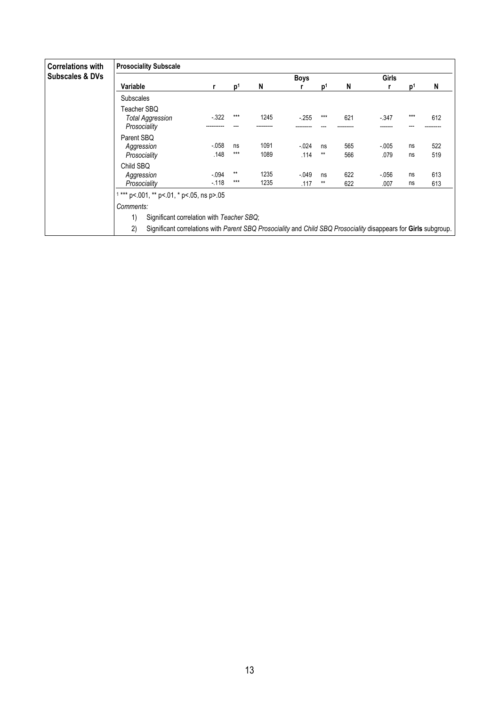| <b>Correlations with</b>   | <b>Prosociality Subscale</b>                                                                                          |                |                |              |                  |                    |            |                  |          |            |
|----------------------------|-----------------------------------------------------------------------------------------------------------------------|----------------|----------------|--------------|------------------|--------------------|------------|------------------|----------|------------|
| <b>Subscales &amp; DVs</b> |                                                                                                                       |                |                |              | Boys             |                    |            | Girls            |          |            |
|                            | Variable                                                                                                              |                | D <sup>1</sup> | N            |                  | D                  | N          |                  | n        | N          |
|                            | <b>Subscales</b>                                                                                                      |                |                |              |                  |                    |            |                  |          |            |
|                            | Teacher SBO<br><b>Total Aggression</b><br>Prosociality                                                                | $-322$         | ***            | 1245         | $-255$           | ***                | 621        | $-347$           | ***      | 612        |
|                            | Parent SBQ<br>Aggression<br>Prosociality                                                                              | $-058$<br>.148 | ns<br>$***$    | 1091<br>1089 | $-0.024$<br>.114 | ns<br>$***$        | 565<br>566 | $-0.005$<br>.079 | ns<br>ns | 522<br>519 |
|                            | Child SBQ<br>Aggression<br>Prosociality                                                                               |                | $***$<br>***   | 1235<br>1235 | $-0.049$<br>.117 | ns<br>$\star\star$ | 622<br>622 | $-0.056$<br>.007 | ns<br>ns | 613<br>613 |
|                            | $1***$ p<.001, ** p<.01, * p<.05, ns p>.05                                                                            |                |                |              |                  |                    |            |                  |          |            |
|                            | Comments:                                                                                                             |                |                |              |                  |                    |            |                  |          |            |
|                            | 1)<br>Significant correlation with Teacher SBQ;                                                                       |                |                |              |                  |                    |            |                  |          |            |
|                            | 2)<br>Significant correlations with Parent SBQ Prosociality and Child SBQ Prosociality disappears for Girls subgroup. |                |                |              |                  |                    |            |                  |          |            |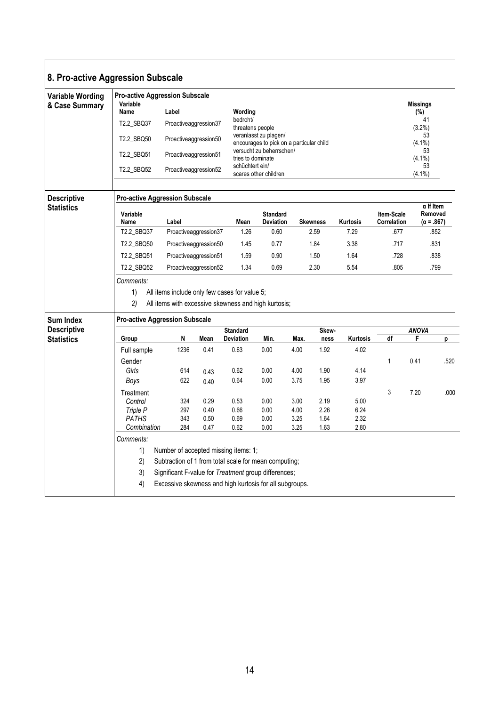| 8. Pro-active Aggression Subscale |  |
|-----------------------------------|--|
|-----------------------------------|--|

| <b>Variable Wording</b> | <b>Pro-active Aggression Subscale</b> |                                                               |      |                  |                                                       |              |                 |              |                   |                             |      |  |
|-------------------------|---------------------------------------|---------------------------------------------------------------|------|------------------|-------------------------------------------------------|--------------|-----------------|--------------|-------------------|-----------------------------|------|--|
| & Case Summary          | Variable<br>Name                      | Label                                                         |      | Wording          |                                                       |              |                 |              |                   | <b>Missings</b><br>(%)      |      |  |
|                         | T2.2_SBQ37                            | Proactiveaggression37                                         |      | bedroht/         |                                                       |              |                 |              |                   | 41                          |      |  |
|                         |                                       |                                                               |      | threatens people | veranlasst zu plagen/                                 |              |                 |              |                   | $(3.2\%)$<br>53             |      |  |
|                         | T2.2_SBQ50                            | Proactiveaggression50                                         |      |                  | encourages to pick on a particular child              |              | $(4.1\%)$       |              |                   |                             |      |  |
|                         | T2.2_SBQ51                            | Proactiveaggression51                                         |      |                  | versucht zu beherrschen/<br>tries to dominate         |              |                 |              |                   |                             |      |  |
|                         | T2.2_SBQ52                            | Proactiveaggression52                                         |      | schüchtert ein/  |                                                       |              |                 |              |                   | $(4.1\%)$<br>53             |      |  |
|                         |                                       |                                                               |      |                  | scares other children                                 |              |                 |              |                   | $(4.1\%)$                   |      |  |
| <b>Descriptive</b>      | <b>Pro-active Aggression Subscale</b> |                                                               |      |                  |                                                       |              |                 |              |                   |                             |      |  |
| <b>Statistics</b>       | Variable                              |                                                               |      |                  | <b>Standard</b>                                       |              |                 |              | <b>Item-Scale</b> | $\alpha$ If Item<br>Removed |      |  |
|                         | Label<br>Name<br>T2.2_SBQ37           |                                                               |      | Mean             | Deviation                                             |              | <b>Skewness</b> | Kurtosis     | Correlation       | $(\alpha = .867)$           |      |  |
|                         | Proactiveaggression37                 |                                                               | 1.26 | 0.60             |                                                       | 2.59         | 7.29            | .677         |                   | .852                        |      |  |
|                         | T2.2_SBQ50<br>Proactiveaggression50   |                                                               | 1.45 | 0.77             |                                                       | 1.84         | 3.38            | .717         | .831              |                             |      |  |
|                         | T2.2_SBQ51                            | Proactiveaggression51                                         |      | 1.59<br>1.34     | 0.90                                                  |              | 1.50            | 1.64         | .728              |                             | .838 |  |
|                         | T2.2_SBQ52                            | Proactiveaggression52                                         |      |                  | 0.69                                                  |              | 2.30            | 5.54         | .805              | .799                        |      |  |
|                         | Comments:                             |                                                               |      |                  |                                                       |              |                 |              |                   |                             |      |  |
|                         | 1)                                    | All items include only few cases for value 5;                 |      |                  |                                                       |              |                 |              |                   |                             |      |  |
|                         | 2)                                    |                                                               |      |                  | All items with excessive skewness and high kurtosis;  |              |                 |              |                   |                             |      |  |
| <b>Sum Index</b>        | <b>Pro-active Aggression Subscale</b> |                                                               |      |                  |                                                       |              |                 |              |                   |                             |      |  |
| <b>Descriptive</b>      |                                       |                                                               |      | <b>Standard</b>  |                                                       |              | Skew-           |              |                   | <b>ANOVA</b>                |      |  |
| <b>Statistics</b>       | Group                                 | N                                                             | Mean | <b>Deviation</b> | Min.                                                  | Max.         | ness            | Kurtosis     | df                | F                           | р    |  |
|                         | Full sample                           | 1236                                                          | 0.41 | 0.63             | 0.00                                                  | 4.00         | 1.92            | 4.02         |                   |                             |      |  |
|                         | Gender                                |                                                               |      |                  |                                                       |              |                 |              | 1                 | 0.41                        | .520 |  |
|                         | Girls                                 | 614<br>622                                                    | 0.43 | 0.62<br>0.64     | 0.00<br>0.00                                          | 4.00<br>3.75 | 1.90<br>1.95    | 4.14<br>3.97 |                   |                             |      |  |
|                         | Boys                                  |                                                               | 0.40 |                  |                                                       |              |                 |              | 3                 |                             |      |  |
|                         | Treatment<br>Control                  | 324                                                           | 0.29 | 0.53             | 0.00                                                  | 3.00         | 2.19            | 5.00         |                   | 7.20                        | .000 |  |
|                         | Triple P                              | 297                                                           | 0.40 | 0.66             | 0.00                                                  | 4.00         | 2.26            | 6.24         |                   |                             |      |  |
|                         | <b>PATHS</b>                          | 343                                                           | 0.50 | 0.69             | 0.00                                                  | 3.25         | 1.64            | 2.32         |                   |                             |      |  |
|                         | Combination                           | 284                                                           | 0.47 | 0.62             | 0.00                                                  | 3.25         | 1.63            | 2.80         |                   |                             |      |  |
|                         | Comments:                             |                                                               |      |                  |                                                       |              |                 |              |                   |                             |      |  |
|                         | 1)                                    | Number of accepted missing items: 1;                          |      |                  |                                                       |              |                 |              |                   |                             |      |  |
|                         | 2)                                    |                                                               |      |                  | Subtraction of 1 from total scale for mean computing; |              |                 |              |                   |                             |      |  |
|                         | 3)                                    |                                                               |      |                  | Significant F-value for Treatment group differences;  |              |                 |              |                   |                             |      |  |
|                         |                                       | 4)<br>Excessive skewness and high kurtosis for all subgroups. |      |                  |                                                       |              |                 |              |                   |                             |      |  |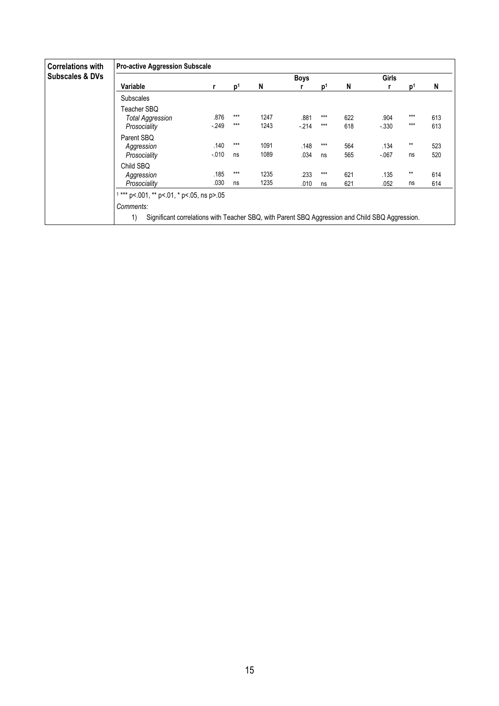| <b>Correlations with</b>   | <b>Pro-active Aggression Subscale</b>                                                                 |                  |                |              |                |                |            |                  |                |            |  |
|----------------------------|-------------------------------------------------------------------------------------------------------|------------------|----------------|--------------|----------------|----------------|------------|------------------|----------------|------------|--|
| <b>Subscales &amp; DVs</b> |                                                                                                       |                  |                |              | Boys           |                |            | <b>Girls</b>     |                |            |  |
|                            | Variable                                                                                              | r                | D <sup>1</sup> | N            |                | ים             | N          |                  | D              | N          |  |
|                            | <b>Subscales</b>                                                                                      |                  |                |              |                |                |            |                  |                |            |  |
|                            | Teacher SBQ<br><b>Total Aggression</b><br>Prosociality                                                | .876<br>$-249$   | $***$<br>$***$ | 1247<br>1243 | .881<br>$-214$ | $***$<br>$***$ | 622<br>618 | .904<br>$-0.330$ | $***$<br>$***$ | 613<br>613 |  |
|                            | Parent SBQ<br>Aggression<br>Prosociality                                                              | .140<br>$-0.010$ | $***$<br>ns    | 1091<br>1089 | .148<br>.034   | ***<br>ns      | 564<br>565 | .134<br>$-067$   | $***$<br>ns    | 523<br>520 |  |
|                            | Child SBQ<br>Aggression<br>Prosociality                                                               | .185<br>.030     | $***$<br>ns    | 1235<br>1235 | .233<br>.010   | $***$<br>ns    | 621<br>621 | .135<br>.052     | $***$<br>ns    | 614<br>614 |  |
|                            | *** p <. 001, ** p <. 01, * p <. 05, ns p >. 05<br>Comments:                                          |                  |                |              |                |                |            |                  |                |            |  |
|                            | Significant correlations with Teacher SBQ, with Parent SBQ Aggression and Child SBQ Aggression.<br>1) |                  |                |              |                |                |            |                  |                |            |  |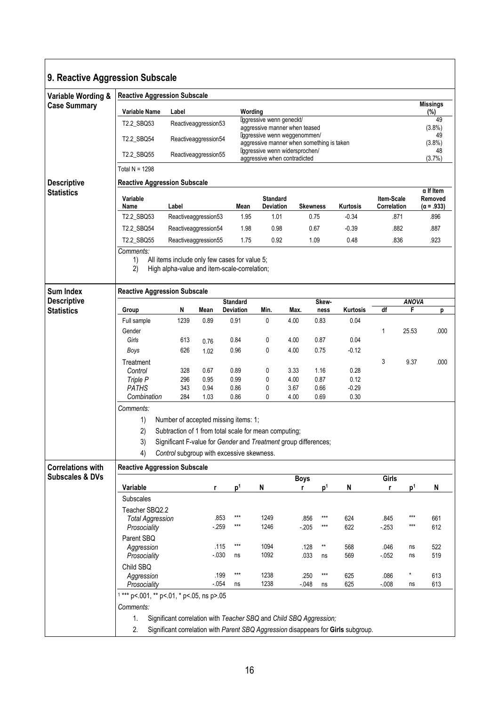| Variable Wording &                                     | <b>Reactive Aggression Subscale</b>                                                                                                                           |                                                              |                      |                                                                                                                                                                                                               |                                                                                                           |                  |                 |              |                                  |                |                                                  |  |
|--------------------------------------------------------|---------------------------------------------------------------------------------------------------------------------------------------------------------------|--------------------------------------------------------------|----------------------|---------------------------------------------------------------------------------------------------------------------------------------------------------------------------------------------------------------|-----------------------------------------------------------------------------------------------------------|------------------|-----------------|--------------|----------------------------------|----------------|--------------------------------------------------|--|
| <b>Case Summary</b>                                    | <b>Variable Name</b>                                                                                                                                          | Label                                                        |                      | Wording                                                                                                                                                                                                       |                                                                                                           |                  |                 |              |                                  |                | <b>Missings</b><br>(%)                           |  |
|                                                        | T2.2_SBQ53                                                                                                                                                    |                                                              | Reactiveaggression53 |                                                                                                                                                                                                               | ggressive wenn geneckt/                                                                                   |                  |                 |              |                                  |                | 49<br>$(3.8\%)$                                  |  |
|                                                        | T2.2_SBQ54                                                                                                                                                    |                                                              | Reactiveaggression54 |                                                                                                                                                                                                               | aggressive manner when teased<br>ggressive wenn weggenommen/<br>aggressive manner when something is taken |                  |                 |              |                                  |                |                                                  |  |
|                                                        | T2.2_SBQ55                                                                                                                                                    |                                                              | Reactiveaggression55 |                                                                                                                                                                                                               | qqressive wenn widersprochen/<br>aggressive when contradicted                                             |                  |                 |              |                                  |                | 48<br>(3.7%)                                     |  |
|                                                        | Total N = 1298                                                                                                                                                |                                                              |                      |                                                                                                                                                                                                               |                                                                                                           |                  |                 |              |                                  |                |                                                  |  |
| <b>Descriptive</b>                                     | <b>Reactive Aggression Subscale</b>                                                                                                                           |                                                              |                      |                                                                                                                                                                                                               |                                                                                                           |                  |                 |              |                                  |                |                                                  |  |
| <b>Statistics</b>                                      | Variable<br>Name                                                                                                                                              | Label                                                        |                      | Mean                                                                                                                                                                                                          | <b>Standard</b><br>Deviation                                                                              |                  | <b>Skewness</b> | Kurtosis     | <b>Item-Scale</b><br>Correlation |                | $\alpha$ If Item<br>Removed<br>$(\alpha = .933)$ |  |
|                                                        | T2.2_SBQ53                                                                                                                                                    | Reactiveaggression53                                         |                      | 1.95                                                                                                                                                                                                          | 1.01                                                                                                      |                  | 0.75            | $-0.34$      |                                  | .871           | .896                                             |  |
|                                                        | T2.2_SBQ54                                                                                                                                                    | 0.98<br>Reactiveaggression54<br>1.98<br>0.67<br>$-0.39$      |                      |                                                                                                                                                                                                               |                                                                                                           |                  |                 |              |                                  | .882           | .887                                             |  |
|                                                        | T2.2_SBQ55                                                                                                                                                    | 1.75<br>0.92<br>1.09<br>0.48<br>.836<br>Reactiveaggression55 |                      |                                                                                                                                                                                                               |                                                                                                           |                  |                 |              |                                  |                | .923                                             |  |
| Sum Index                                              | Comments:<br>1)<br>All items include only few cases for value 5;<br>2)<br>High alpha-value and item-scale-correlation;<br><b>Reactive Aggression Subscale</b> |                                                              |                      |                                                                                                                                                                                                               |                                                                                                           |                  |                 |              |                                  |                |                                                  |  |
| <b>Descriptive</b><br><b>Statistics</b>                |                                                                                                                                                               |                                                              |                      | <b>Standard</b>                                                                                                                                                                                               |                                                                                                           |                  | Skew-           |              |                                  | <b>ANOVA</b>   |                                                  |  |
|                                                        | Group                                                                                                                                                         | N                                                            | Mean                 | <b>Deviation</b>                                                                                                                                                                                              | Min.                                                                                                      | Max.             | ness            | Kurtosis     | df                               | F              | р                                                |  |
|                                                        | Full sample<br>Gender                                                                                                                                         | 1239                                                         | 0.89                 | 0.91                                                                                                                                                                                                          | 0                                                                                                         | 4.00             | 0.83            | 0.04         | 1                                | 25.53          | .000                                             |  |
|                                                        | Girls                                                                                                                                                         | 613                                                          | 0.76                 | 0.84                                                                                                                                                                                                          | 0                                                                                                         | 4.00             | 0.87            | 0.04         |                                  |                |                                                  |  |
|                                                        | Boys                                                                                                                                                          | 626                                                          | 1.02                 | 0.96                                                                                                                                                                                                          | 0                                                                                                         | 4.00             | 0.75            | $-0.12$      |                                  |                |                                                  |  |
|                                                        | Treatment                                                                                                                                                     |                                                              |                      |                                                                                                                                                                                                               |                                                                                                           |                  |                 |              | 3                                | 9.37           | .000                                             |  |
|                                                        | Control<br>Triple P                                                                                                                                           | 328<br>296                                                   | 0.67<br>0.95         | 0.89<br>0.99                                                                                                                                                                                                  | 0<br>0                                                                                                    | 3.33<br>4.00     | 1.16<br>0.87    | 0.28<br>0.12 |                                  |                |                                                  |  |
|                                                        | <b>PATHS</b>                                                                                                                                                  | 343                                                          | 0.94                 | 0.86                                                                                                                                                                                                          | 0                                                                                                         | 3.67             | 0.66            | $-0.29$      |                                  |                |                                                  |  |
|                                                        | Combination                                                                                                                                                   | 284                                                          | 1.03                 | 0.86                                                                                                                                                                                                          | 0                                                                                                         | 4.00             | 0.69            | 0.30         |                                  |                |                                                  |  |
|                                                        | Comments:<br>1)<br>2)<br>3)<br>4)                                                                                                                             |                                                              |                      | Number of accepted missing items: 1;<br>Subtraction of 1 from total scale for mean computing;<br>Significant F-value for Gender and Treatment group differences;<br>Control subgroup with excessive skewness. |                                                                                                           |                  |                 |              |                                  |                |                                                  |  |
| <b>Correlations with</b><br><b>Subscales &amp; DVs</b> | <b>Reactive Aggression Subscale</b>                                                                                                                           |                                                              |                      |                                                                                                                                                                                                               |                                                                                                           |                  |                 |              |                                  |                |                                                  |  |
|                                                        | Variable                                                                                                                                                      |                                                              | r                    | p <sup>1</sup>                                                                                                                                                                                                | N                                                                                                         | <b>Boys</b><br>r | p <sup>1</sup>  | N            | Girls<br>r                       | p <sup>1</sup> | N                                                |  |
|                                                        | Subscales                                                                                                                                                     |                                                              |                      |                                                                                                                                                                                                               |                                                                                                           |                  |                 |              |                                  |                |                                                  |  |
|                                                        | Teacher SBQ2.2                                                                                                                                                |                                                              |                      |                                                                                                                                                                                                               |                                                                                                           |                  |                 |              |                                  |                |                                                  |  |
|                                                        | <b>Total Aggression</b>                                                                                                                                       |                                                              |                      | ***<br>.853<br>***<br>$-259$                                                                                                                                                                                  | 1249<br>1246                                                                                              | .856             | ***             | 624<br>622   | .845                             | ***            | 661<br>612                                       |  |
|                                                        | Prosociality<br>Parent SBQ                                                                                                                                    |                                                              |                      |                                                                                                                                                                                                               |                                                                                                           | $-205$           |                 |              | $-253$                           |                |                                                  |  |
|                                                        | Aggression                                                                                                                                                    |                                                              |                      | ***<br>.115                                                                                                                                                                                                   | 1094                                                                                                      | .128             |                 | 568          | .046                             | ns             | 522                                              |  |
|                                                        | Prosociality                                                                                                                                                  |                                                              | $-0.30$              | ns                                                                                                                                                                                                            | 1092                                                                                                      | .033             | ns              | 569          | $-052$                           | ns             | 519                                              |  |
|                                                        | Child SBQ                                                                                                                                                     |                                                              |                      | $***$<br>.199                                                                                                                                                                                                 | 1238                                                                                                      |                  | ***             |              |                                  |                |                                                  |  |
|                                                        |                                                                                                                                                               |                                                              |                      |                                                                                                                                                                                                               |                                                                                                           | .250             |                 | 625          | .086                             |                | 613                                              |  |
|                                                        | Aggression<br>Prosociality                                                                                                                                    |                                                              |                      | $-0.054$<br>ns                                                                                                                                                                                                | 1238                                                                                                      | $-0.048$         | ns              | 625          | $-008$                           | ns             | 613                                              |  |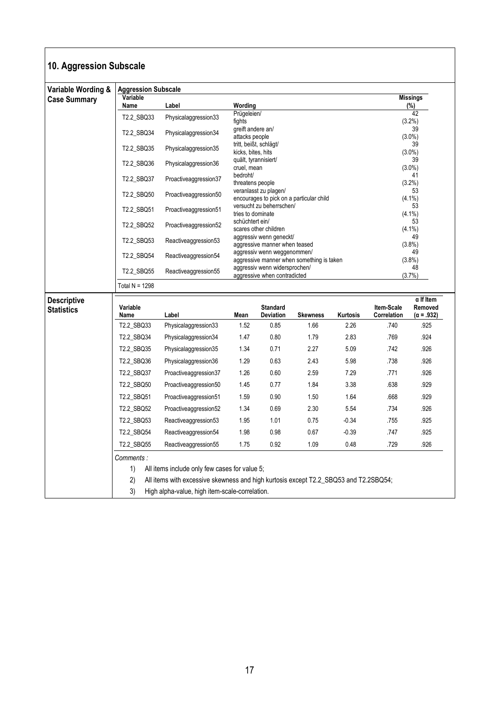## 10. Aggression Subscale

| Variable Wording &                      | <b>Aggression Subscale</b> |                                                                                      |                    |                                                                            |                 |              |                 |                             |  |  |  |  |  |
|-----------------------------------------|----------------------------|--------------------------------------------------------------------------------------|--------------------|----------------------------------------------------------------------------|-----------------|--------------|-----------------|-----------------------------|--|--|--|--|--|
| <b>Case Summary</b>                     | Variable<br>Name           | Label                                                                                | Wording            |                                                                            |                 |              |                 | Missings<br>(%)             |  |  |  |  |  |
|                                         |                            |                                                                                      | Prügeleien/        |                                                                            |                 |              |                 | 42                          |  |  |  |  |  |
|                                         | T2.2_SBQ33                 | Physicalaggression33                                                                 | fights             |                                                                            |                 |              |                 | $(3.2\%)$                   |  |  |  |  |  |
|                                         | T2.2_SBQ34                 | Physicalaggression34                                                                 | greift andere an/  |                                                                            |                 |              |                 | 39                          |  |  |  |  |  |
|                                         |                            |                                                                                      | attacks people     | tritt, beißt, schlägt/                                                     |                 |              |                 | $(3.0\%)$<br>39             |  |  |  |  |  |
|                                         | T2.2_SBQ35                 | Physicalaggression35                                                                 | kicks, bites, hits |                                                                            |                 |              |                 | $(3.0\%)$                   |  |  |  |  |  |
|                                         | T2.2_SBQ36                 | Physicalaggression36                                                                 | cruel. mean        | quält, tyrannisiert/                                                       |                 |              | 39<br>$(3.0\%)$ |                             |  |  |  |  |  |
|                                         | T2.2_SBQ37                 | Proactiveaggression37                                                                | bedroht/           |                                                                            |                 |              | 41<br>$(3.2\%)$ |                             |  |  |  |  |  |
|                                         |                            |                                                                                      | threatens people   | veranlasst zu plagen/                                                      |                 |              | 53              |                             |  |  |  |  |  |
|                                         | T2.2_SBQ50                 | Proactiveaggression50                                                                |                    | encourages to pick on a particular child                                   |                 | $(4.1\%)$    |                 |                             |  |  |  |  |  |
|                                         | T2.2_SBQ51                 | Proactiveaggression51                                                                | tries to dominate  | versucht zu beherrschen/                                                   |                 |              |                 | 53<br>$(4.1\%)$             |  |  |  |  |  |
|                                         | T2.2_SBQ52                 | Proactiveaggression52                                                                | schüchtert ein/    | scares other children                                                      |                 |              | 53<br>$(4.1\%)$ |                             |  |  |  |  |  |
|                                         | T2.2_SBQ53                 | Reactiveaggression53                                                                 |                    | aggressiv wenn geneckt/<br>aggressive manner when teased                   |                 |              | 49<br>(3.8%)    |                             |  |  |  |  |  |
|                                         | T2.2_SBQ54                 | Reactiveaggression54                                                                 |                    | aggressiv wenn weggenommen/                                                |                 |              | 49              |                             |  |  |  |  |  |
|                                         |                            |                                                                                      |                    | aggressive manner when something is taken<br>aggressiv wenn widersprochen/ |                 | (3.8%)<br>48 |                 |                             |  |  |  |  |  |
|                                         | T2.2_SBQ55                 | Reactiveaggression55                                                                 |                    | aggressive when contradicted                                               |                 |              |                 | $(3.7\%)$                   |  |  |  |  |  |
|                                         | Total N = 1298             |                                                                                      |                    |                                                                            |                 |              |                 |                             |  |  |  |  |  |
| <b>Descriptive</b><br><b>Statistics</b> | Variable                   |                                                                                      |                    | <b>Standard</b>                                                            |                 |              | Item-Scale      | $\alpha$ If Item<br>Removed |  |  |  |  |  |
|                                         | Name                       | Label                                                                                | Mean               | Deviation                                                                  | <b>Skewness</b> | Kurtosis     | Correlation     | $(\alpha = .932)$           |  |  |  |  |  |
|                                         | T2.2_SBQ33                 | Physicalaggression33                                                                 | 1.52               | 0.85                                                                       | 1.66            | 2.26         | .740            | .925                        |  |  |  |  |  |
|                                         | T2.2_SBQ34                 | Physicalaggression34                                                                 | 1.47               | 0.80                                                                       | 1.79            | 2.83         | .769            | .924                        |  |  |  |  |  |
|                                         | T2.2_SBQ35                 | Physicalaggression35                                                                 | 1.34               | 0.71                                                                       | 2.27            | 5.09         | .742            | .926                        |  |  |  |  |  |
|                                         | T2.2_SBQ36                 | Physicalaggression36                                                                 | 1.29               | 0.63<br>2.43                                                               |                 | 5.98         | .738            | .926                        |  |  |  |  |  |
|                                         | T2.2_SBQ37                 | Proactiveaggression37                                                                | 1.26               | 0.60                                                                       | 2.59            | 7.29         | .771            | .926                        |  |  |  |  |  |
|                                         | T2.2_SBQ50                 | Proactiveaggression50                                                                | 1.45               | 0.77                                                                       | 1.84            | 3.38         | .638            | .929                        |  |  |  |  |  |
|                                         | T2.2_SBQ51                 | Proactiveaggression51                                                                | 1.59               | 0.90                                                                       | 1.50            | 1.64         | .668            | .929                        |  |  |  |  |  |
|                                         | T2.2_SBQ52                 | Proactiveaggression52                                                                | 1.34               | 0.69                                                                       | 2.30            | 5.54         | .734            | .926                        |  |  |  |  |  |
|                                         | T2.2_SBQ53                 | Reactiveaggression53                                                                 | 1.95               | 1.01                                                                       | 0.75            | $-0.34$      | .755            | .925                        |  |  |  |  |  |
|                                         | T2.2_SBQ54                 | Reactiveaggression54                                                                 | 1.98               | 0.98                                                                       | 0.67            | $-0.39$      | .747            | .925                        |  |  |  |  |  |
|                                         | T2.2_SBQ55                 | Reactiveaggression55                                                                 | 1.75               | 0.92                                                                       | 1.09            | 0.48         | .729            | .926                        |  |  |  |  |  |
|                                         | Comments :                 |                                                                                      |                    |                                                                            |                 |              |                 |                             |  |  |  |  |  |
|                                         | 1)                         | All items include only few cases for value 5;                                        |                    |                                                                            |                 |              |                 |                             |  |  |  |  |  |
|                                         |                            |                                                                                      |                    |                                                                            |                 |              |                 |                             |  |  |  |  |  |
|                                         | 2)                         | All items with excessive skewness and high kurtosis except T2.2_SBQ53 and T2.2SBQ54; |                    |                                                                            |                 |              |                 |                             |  |  |  |  |  |
|                                         | 3)                         | High alpha-value, high item-scale-correlation.                                       |                    |                                                                            |                 |              |                 |                             |  |  |  |  |  |